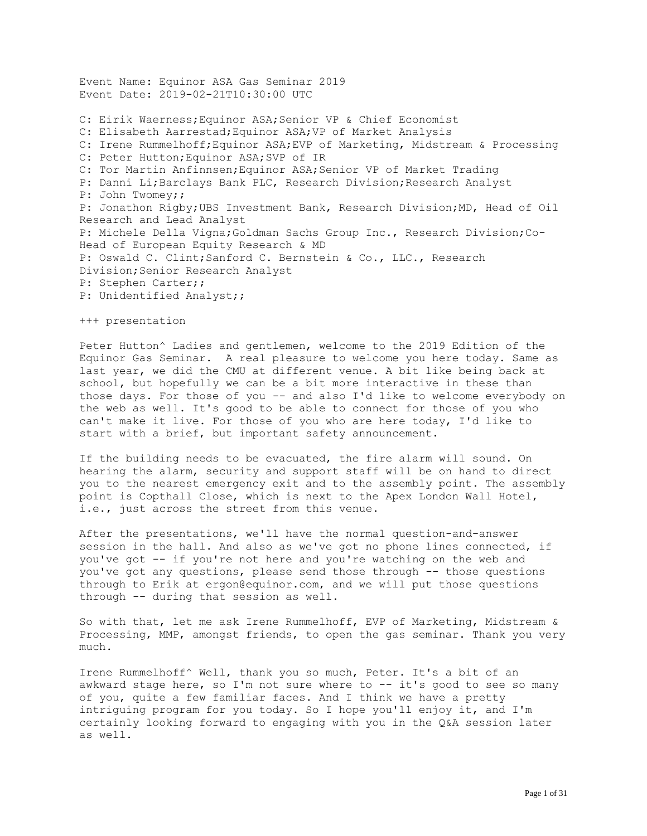Event Name: Equinor ASA Gas Seminar 2019 Event Date: 2019-02-21T10:30:00 UTC C: Eirik Waerness;Equinor ASA;Senior VP & Chief Economist C: Elisabeth Aarrestad;Equinor ASA;VP of Market Analysis C: Irene Rummelhoff;Equinor ASA;EVP of Marketing, Midstream & Processing C: Peter Hutton;Equinor ASA;SVP of IR C: Tor Martin Anfinnsen;Equinor ASA;Senior VP of Market Trading P: Danni Li;Barclays Bank PLC, Research Division;Research Analyst P: John Twomey;; P: Jonathon Rigby;UBS Investment Bank, Research Division;MD, Head of Oil Research and Lead Analyst P: Michele Della Vigna;Goldman Sachs Group Inc., Research Division;Co-Head of European Equity Research & MD P: Oswald C. Clint;Sanford C. Bernstein & Co., LLC., Research Division;Senior Research Analyst P: Stephen Carter;; P: Unidentified Analyst;;

+++ presentation

Peter Hutton^ Ladies and gentlemen, welcome to the 2019 Edition of the Equinor Gas Seminar. A real pleasure to welcome you here today. Same as last year, we did the CMU at different venue. A bit like being back at school, but hopefully we can be a bit more interactive in these than those days. For those of you -- and also I'd like to welcome everybody on the web as well. It's good to be able to connect for those of you who can't make it live. For those of you who are here today, I'd like to start with a brief, but important safety announcement.

If the building needs to be evacuated, the fire alarm will sound. On hearing the alarm, security and support staff will be on hand to direct you to the nearest emergency exit and to the assembly point. The assembly point is Copthall Close, which is next to the Apex London Wall Hotel, i.e., just across the street from this venue.

After the presentations, we'll have the normal question-and-answer session in the hall. And also as we've got no phone lines connected, if you've got -- if you're not here and you're watching on the web and you've got any questions, please send those through -- those questions through to Erik at ergon@equinor.com, and we will put those questions through -- during that session as well.

So with that, let me ask Irene Rummelhoff, EVP of Marketing, Midstream & Processing, MMP, amongst friends, to open the gas seminar. Thank you very much.

Irene Rummelhoff^ Well, thank you so much, Peter. It's a bit of an awkward stage here, so I'm not sure where to -- it's good to see so many of you, quite a few familiar faces. And I think we have a pretty intriguing program for you today. So I hope you'll enjoy it, and I'm certainly looking forward to engaging with you in the Q&A session later as well.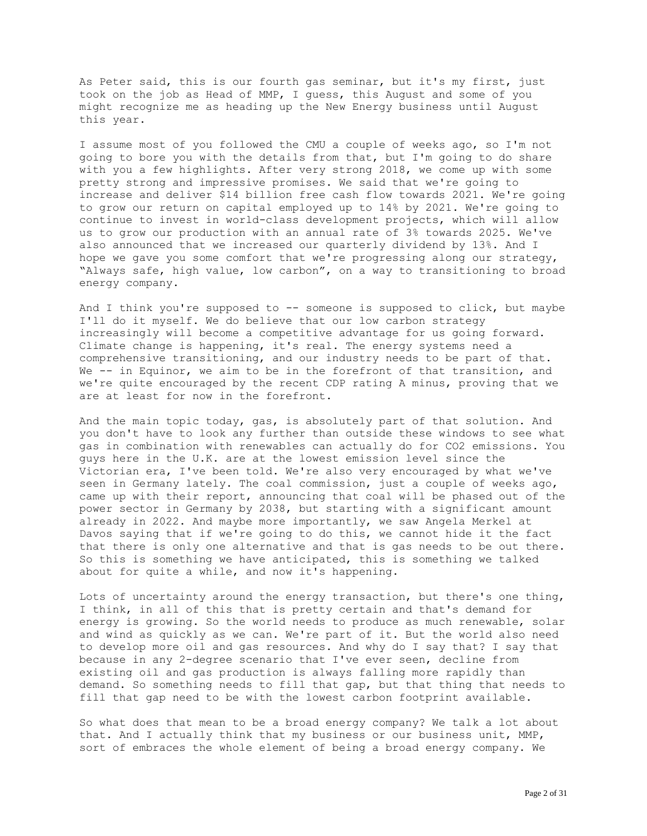As Peter said, this is our fourth gas seminar, but it's my first, just took on the job as Head of MMP, I guess, this August and some of you might recognize me as heading up the New Energy business until August this year.

I assume most of you followed the CMU a couple of weeks ago, so I'm not going to bore you with the details from that, but I'm going to do share with you a few highlights. After very strong 2018, we come up with some pretty strong and impressive promises. We said that we're going to increase and deliver \$14 billion free cash flow towards 2021. We're going to grow our return on capital employed up to 14% by 2021. We're going to continue to invest in world-class development projects, which will allow us to grow our production with an annual rate of 3% towards 2025. We've also announced that we increased our quarterly dividend by 13%. And I hope we gave you some comfort that we're progressing along our strategy, "Always safe, high value, low carbon", on a way to transitioning to broad energy company.

And I think you're supposed to -- someone is supposed to click, but maybe I'll do it myself. We do believe that our low carbon strategy increasingly will become a competitive advantage for us going forward. Climate change is happening, it's real. The energy systems need a comprehensive transitioning, and our industry needs to be part of that. We -- in Equinor, we aim to be in the forefront of that transition, and we're quite encouraged by the recent CDP rating A minus, proving that we are at least for now in the forefront.

And the main topic today, gas, is absolutely part of that solution. And you don't have to look any further than outside these windows to see what gas in combination with renewables can actually do for CO2 emissions. You guys here in the U.K. are at the lowest emission level since the Victorian era, I've been told. We're also very encouraged by what we've seen in Germany lately. The coal commission, just a couple of weeks ago, came up with their report, announcing that coal will be phased out of the power sector in Germany by 2038, but starting with a significant amount already in 2022. And maybe more importantly, we saw Angela Merkel at Davos saying that if we're going to do this, we cannot hide it the fact that there is only one alternative and that is gas needs to be out there. So this is something we have anticipated, this is something we talked about for quite a while, and now it's happening.

Lots of uncertainty around the energy transaction, but there's one thing, I think, in all of this that is pretty certain and that's demand for energy is growing. So the world needs to produce as much renewable, solar and wind as quickly as we can. We're part of it. But the world also need to develop more oil and gas resources. And why do I say that? I say that because in any 2-degree scenario that I've ever seen, decline from existing oil and gas production is always falling more rapidly than demand. So something needs to fill that gap, but that thing that needs to fill that gap need to be with the lowest carbon footprint available.

So what does that mean to be a broad energy company? We talk a lot about that. And I actually think that my business or our business unit, MMP, sort of embraces the whole element of being a broad energy company. We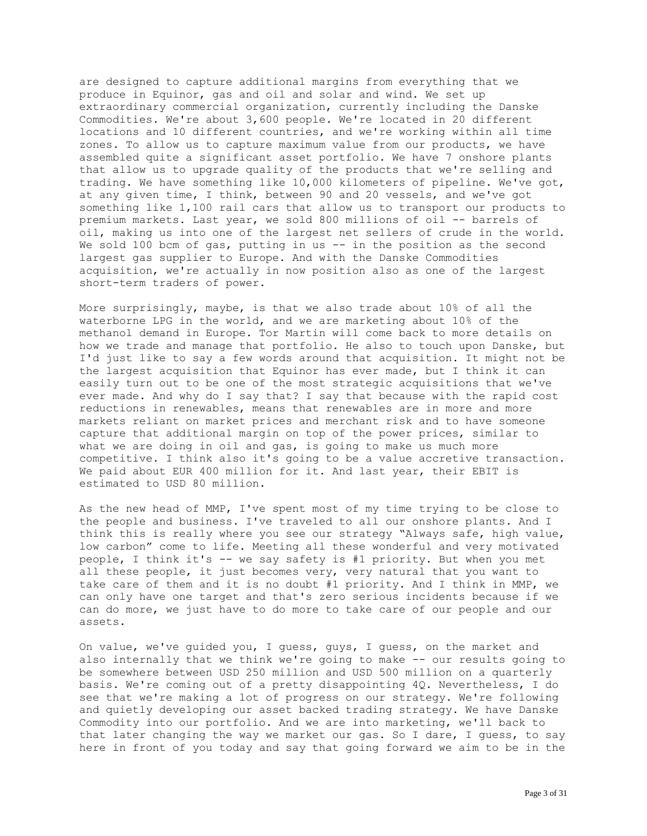are designed to capture additional margins from everything that we produce in Equinor, gas and oil and solar and wind. We set up extraordinary commercial organization, currently including the Danske Commodities. We're about 3,600 people. We're located in 20 different locations and 10 different countries, and we're working within all time zones. To allow us to capture maximum value from our products, we have assembled quite a significant asset portfolio. We have 7 onshore plants that allow us to upgrade quality of the products that we're selling and trading. We have something like 10,000 kilometers of pipeline. We've got, at any given time, I think, between 90 and 20 vessels, and we've got something like 1,100 rail cars that allow us to transport our products to premium markets. Last year, we sold 800 millions of oil -- barrels of oil, making us into one of the largest net sellers of crude in the world. We sold 100 bcm of gas, putting in us -- in the position as the second largest gas supplier to Europe. And with the Danske Commodities acquisition, we're actually in now position also as one of the largest short-term traders of power.

More surprisingly, maybe, is that we also trade about 10% of all the waterborne LPG in the world, and we are marketing about 10% of the methanol demand in Europe. Tor Martin will come back to more details on how we trade and manage that portfolio. He also to touch upon Danske, but I'd just like to say a few words around that acquisition. It might not be the largest acquisition that Equinor has ever made, but I think it can easily turn out to be one of the most strategic acquisitions that we've ever made. And why do I say that? I say that because with the rapid cost reductions in renewables, means that renewables are in more and more markets reliant on market prices and merchant risk and to have someone capture that additional margin on top of the power prices, similar to what we are doing in oil and gas, is going to make us much more competitive. I think also it's going to be a value accretive transaction. We paid about EUR 400 million for it. And last year, their EBIT is estimated to USD 80 million.

As the new head of MMP, I've spent most of my time trying to be close to the people and business. I've traveled to all our onshore plants. And I think this is really where you see our strategy "Always safe, high value, low carbon" come to life. Meeting all these wonderful and very motivated people, I think it's -- we say safety is #1 priority. But when you met all these people, it just becomes very, very natural that you want to take care of them and it is no doubt #1 priority. And I think in MMP, we can only have one target and that's zero serious incidents because if we can do more, we just have to do more to take care of our people and our assets.

On value, we've guided you, I guess, guys, I guess, on the market and also internally that we think we're going to make -- our results going to be somewhere between USD 250 million and USD 500 million on a quarterly basis. We're coming out of a pretty disappointing 4Q. Nevertheless, I do see that we're making a lot of progress on our strategy. We're following and quietly developing our asset backed trading strategy. We have Danske Commodity into our portfolio. And we are into marketing, we'll back to that later changing the way we market our gas. So I dare, I guess, to say here in front of you today and say that going forward we aim to be in the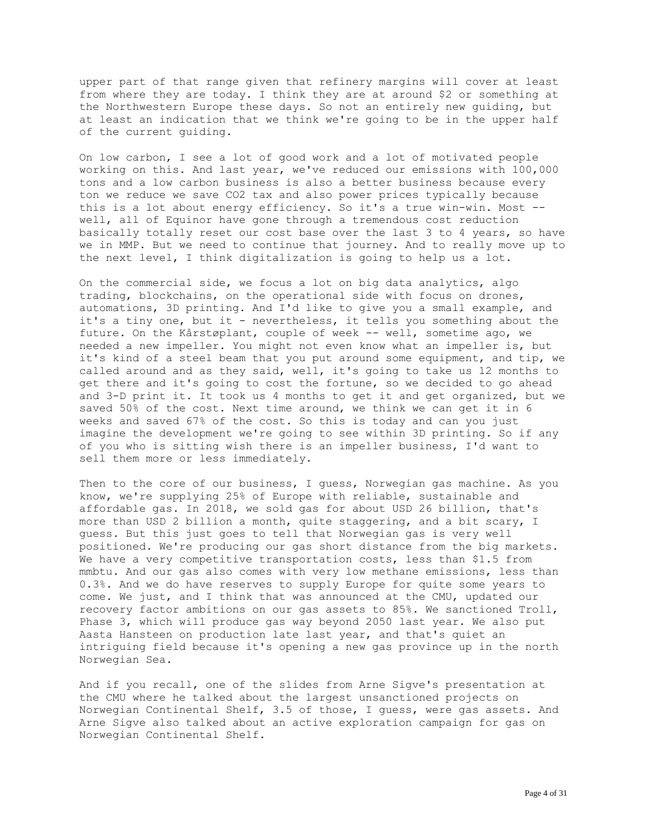upper part of that range given that refinery margins will cover at least from where they are today. I think they are at around \$2 or something at the Northwestern Europe these days. So not an entirely new guiding, but at least an indication that we think we're going to be in the upper half of the current guiding.

On low carbon, I see a lot of good work and a lot of motivated people working on this. And last year, we've reduced our emissions with 100,000 tons and a low carbon business is also a better business because every ton we reduce we save CO2 tax and also power prices typically because this is a lot about energy efficiency. So it's a true win-win. Most - well, all of Equinor have gone through a tremendous cost reduction basically totally reset our cost base over the last 3 to 4 years, so have we in MMP. But we need to continue that journey. And to really move up to the next level, I think digitalization is going to help us a lot.

On the commercial side, we focus a lot on big data analytics, algo trading, blockchains, on the operational side with focus on drones, automations, 3D printing. And I'd like to give you a small example, and it's a tiny one, but it - nevertheless, it tells you something about the future. On the Kårstøplant, couple of week -- well, sometime ago, we needed a new impeller. You might not even know what an impeller is, but it's kind of a steel beam that you put around some equipment, and tip, we called around and as they said, well, it's going to take us 12 months to get there and it's going to cost the fortune, so we decided to go ahead and 3-D print it. It took us 4 months to get it and get organized, but we saved 50% of the cost. Next time around, we think we can get it in 6 weeks and saved 67% of the cost. So this is today and can you just imagine the development we're going to see within 3D printing. So if any of you who is sitting wish there is an impeller business, I'd want to sell them more or less immediately.

Then to the core of our business, I guess, Norwegian gas machine. As you know, we're supplying 25% of Europe with reliable, sustainable and affordable gas. In 2018, we sold gas for about USD 26 billion, that's more than USD 2 billion a month, quite staggering, and a bit scary, I guess. But this just goes to tell that Norwegian gas is very well positioned. We're producing our gas short distance from the big markets. We have a very competitive transportation costs, less than \$1.5 from mmbtu. And our gas also comes with very low methane emissions, less than 0.3%. And we do have reserves to supply Europe for quite some years to come. We just, and I think that was announced at the CMU, updated our recovery factor ambitions on our gas assets to 85%. We sanctioned Troll, Phase 3, which will produce gas way beyond 2050 last year. We also put Aasta Hansteen on production late last year, and that's quiet an intriguing field because it's opening a new gas province up in the north Norwegian Sea.

And if you recall, one of the slides from Arne Sigve's presentation at the CMU where he talked about the largest unsanctioned projects on Norwegian Continental Shelf, 3.5 of those, I guess, were gas assets. And Arne Sigve also talked about an active exploration campaign for gas on Norwegian Continental Shelf.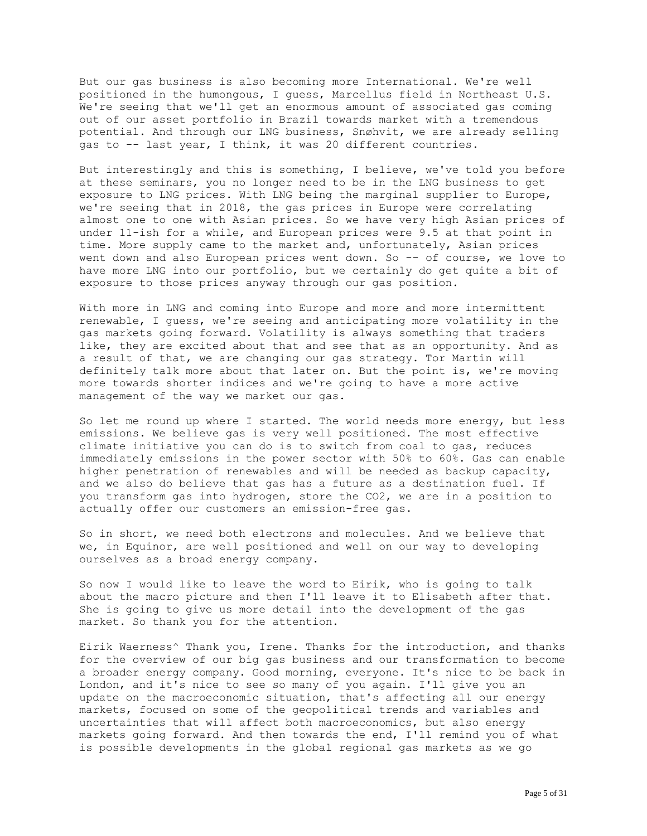But our gas business is also becoming more International. We're well positioned in the humongous, I guess, Marcellus field in Northeast U.S. We're seeing that we'll get an enormous amount of associated gas coming out of our asset portfolio in Brazil towards market with a tremendous potential. And through our LNG business, Snøhvit, we are already selling gas to -- last year, I think, it was 20 different countries.

But interestingly and this is something, I believe, we've told you before at these seminars, you no longer need to be in the LNG business to get exposure to LNG prices. With LNG being the marginal supplier to Europe, we're seeing that in 2018, the gas prices in Europe were correlating almost one to one with Asian prices. So we have very high Asian prices of under 11-ish for a while, and European prices were 9.5 at that point in time. More supply came to the market and, unfortunately, Asian prices went down and also European prices went down. So -- of course, we love to have more LNG into our portfolio, but we certainly do get quite a bit of exposure to those prices anyway through our gas position.

With more in LNG and coming into Europe and more and more intermittent renewable, I guess, we're seeing and anticipating more volatility in the gas markets going forward. Volatility is always something that traders like, they are excited about that and see that as an opportunity. And as a result of that, we are changing our gas strategy. Tor Martin will definitely talk more about that later on. But the point is, we're moving more towards shorter indices and we're going to have a more active management of the way we market our gas.

So let me round up where I started. The world needs more energy, but less emissions. We believe gas is very well positioned. The most effective climate initiative you can do is to switch from coal to gas, reduces immediately emissions in the power sector with 50% to 60%. Gas can enable higher penetration of renewables and will be needed as backup capacity, and we also do believe that gas has a future as a destination fuel. If you transform gas into hydrogen, store the CO2, we are in a position to actually offer our customers an emission-free gas.

So in short, we need both electrons and molecules. And we believe that we, in Equinor, are well positioned and well on our way to developing ourselves as a broad energy company.

So now I would like to leave the word to Eirik, who is going to talk about the macro picture and then I'll leave it to Elisabeth after that. She is going to give us more detail into the development of the gas market. So thank you for the attention.

Eirik Waerness^ Thank you, Irene. Thanks for the introduction, and thanks for the overview of our big gas business and our transformation to become a broader energy company. Good morning, everyone. It's nice to be back in London, and it's nice to see so many of you again. I'll give you an update on the macroeconomic situation, that's affecting all our energy markets, focused on some of the geopolitical trends and variables and uncertainties that will affect both macroeconomics, but also energy markets going forward. And then towards the end, I'll remind you of what is possible developments in the global regional gas markets as we go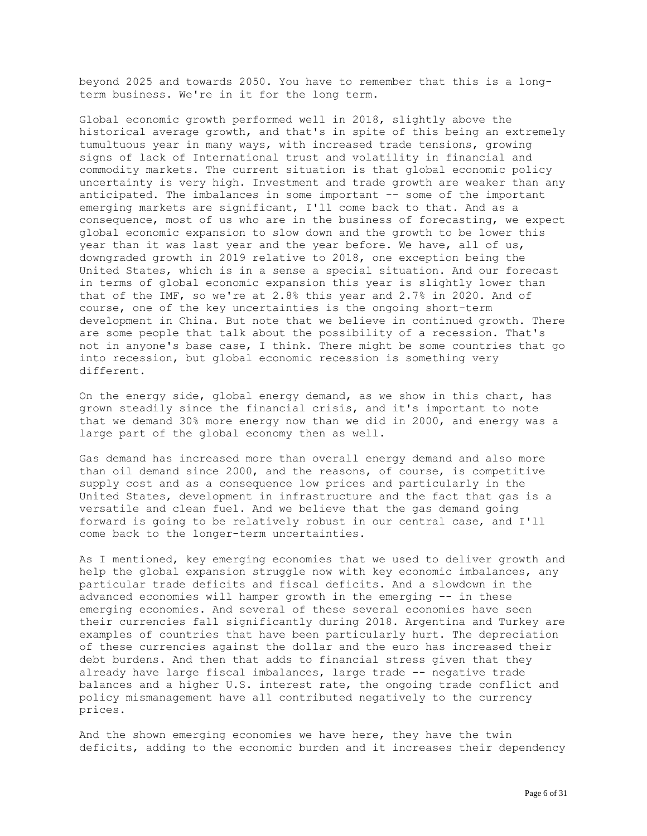beyond 2025 and towards 2050. You have to remember that this is a longterm business. We're in it for the long term.

Global economic growth performed well in 2018, slightly above the historical average growth, and that's in spite of this being an extremely tumultuous year in many ways, with increased trade tensions, growing signs of lack of International trust and volatility in financial and commodity markets. The current situation is that global economic policy uncertainty is very high. Investment and trade growth are weaker than any anticipated. The imbalances in some important -- some of the important emerging markets are significant, I'll come back to that. And as a consequence, most of us who are in the business of forecasting, we expect global economic expansion to slow down and the growth to be lower this year than it was last year and the year before. We have, all of us, downgraded growth in 2019 relative to 2018, one exception being the United States, which is in a sense a special situation. And our forecast in terms of global economic expansion this year is slightly lower than that of the IMF, so we're at 2.8% this year and 2.7% in 2020. And of course, one of the key uncertainties is the ongoing short-term development in China. But note that we believe in continued growth. There are some people that talk about the possibility of a recession. That's not in anyone's base case, I think. There might be some countries that go into recession, but global economic recession is something very different.

On the energy side, global energy demand, as we show in this chart, has grown steadily since the financial crisis, and it's important to note that we demand 30% more energy now than we did in 2000, and energy was a large part of the global economy then as well.

Gas demand has increased more than overall energy demand and also more than oil demand since 2000, and the reasons, of course, is competitive supply cost and as a consequence low prices and particularly in the United States, development in infrastructure and the fact that gas is a versatile and clean fuel. And we believe that the gas demand going forward is going to be relatively robust in our central case, and I'll come back to the longer-term uncertainties.

As I mentioned, key emerging economies that we used to deliver growth and help the global expansion struggle now with key economic imbalances, any particular trade deficits and fiscal deficits. And a slowdown in the advanced economies will hamper growth in the emerging -- in these emerging economies. And several of these several economies have seen their currencies fall significantly during 2018. Argentina and Turkey are examples of countries that have been particularly hurt. The depreciation of these currencies against the dollar and the euro has increased their debt burdens. And then that adds to financial stress given that they already have large fiscal imbalances, large trade -- negative trade balances and a higher U.S. interest rate, the ongoing trade conflict and policy mismanagement have all contributed negatively to the currency prices.

And the shown emerging economies we have here, they have the twin deficits, adding to the economic burden and it increases their dependency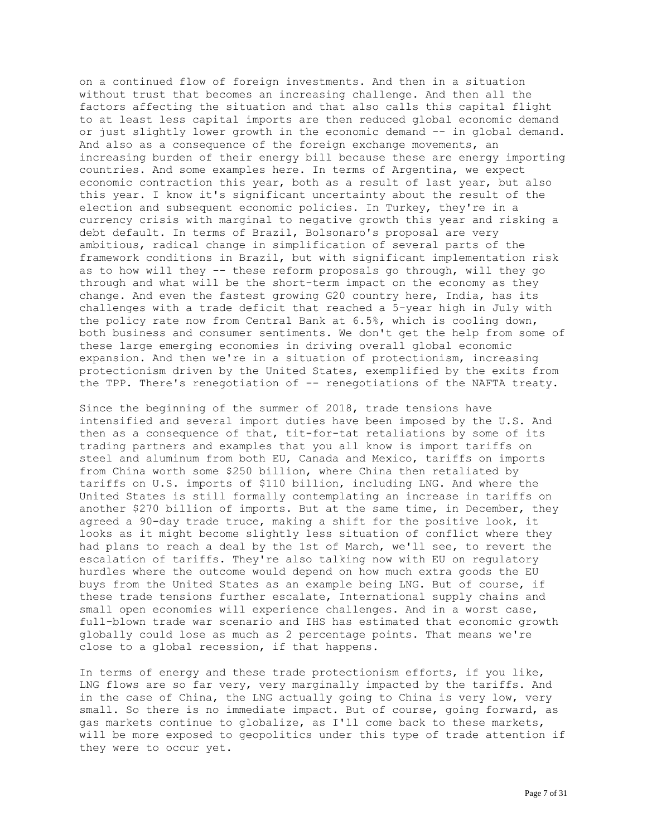on a continued flow of foreign investments. And then in a situation without trust that becomes an increasing challenge. And then all the factors affecting the situation and that also calls this capital flight to at least less capital imports are then reduced global economic demand or just slightly lower growth in the economic demand -- in global demand. And also as a consequence of the foreign exchange movements, an increasing burden of their energy bill because these are energy importing countries. And some examples here. In terms of Argentina, we expect economic contraction this year, both as a result of last year, but also this year. I know it's significant uncertainty about the result of the election and subsequent economic policies. In Turkey, they're in a currency crisis with marginal to negative growth this year and risking a debt default. In terms of Brazil, Bolsonaro's proposal are very ambitious, radical change in simplification of several parts of the framework conditions in Brazil, but with significant implementation risk as to how will they -- these reform proposals go through, will they go through and what will be the short-term impact on the economy as they change. And even the fastest growing G20 country here, India, has its challenges with a trade deficit that reached a 5-year high in July with the policy rate now from Central Bank at 6.5%, which is cooling down, both business and consumer sentiments. We don't get the help from some of these large emerging economies in driving overall global economic expansion. And then we're in a situation of protectionism, increasing protectionism driven by the United States, exemplified by the exits from the TPP. There's renegotiation of -- renegotiations of the NAFTA treaty.

Since the beginning of the summer of 2018, trade tensions have intensified and several import duties have been imposed by the U.S. And then as a consequence of that, tit-for-tat retaliations by some of its trading partners and examples that you all know is import tariffs on steel and aluminum from both EU, Canada and Mexico, tariffs on imports from China worth some \$250 billion, where China then retaliated by tariffs on U.S. imports of \$110 billion, including LNG. And where the United States is still formally contemplating an increase in tariffs on another \$270 billion of imports. But at the same time, in December, they agreed a 90-day trade truce, making a shift for the positive look, it looks as it might become slightly less situation of conflict where they had plans to reach a deal by the 1st of March, we'll see, to revert the escalation of tariffs. They're also talking now with EU on regulatory hurdles where the outcome would depend on how much extra goods the EU buys from the United States as an example being LNG. But of course, if these trade tensions further escalate, International supply chains and small open economies will experience challenges. And in a worst case, full-blown trade war scenario and IHS has estimated that economic growth globally could lose as much as 2 percentage points. That means we're close to a global recession, if that happens.

In terms of energy and these trade protectionism efforts, if you like, LNG flows are so far very, very marginally impacted by the tariffs. And in the case of China, the LNG actually going to China is very low, very small. So there is no immediate impact. But of course, going forward, as gas markets continue to globalize, as I'll come back to these markets, will be more exposed to geopolitics under this type of trade attention if they were to occur yet.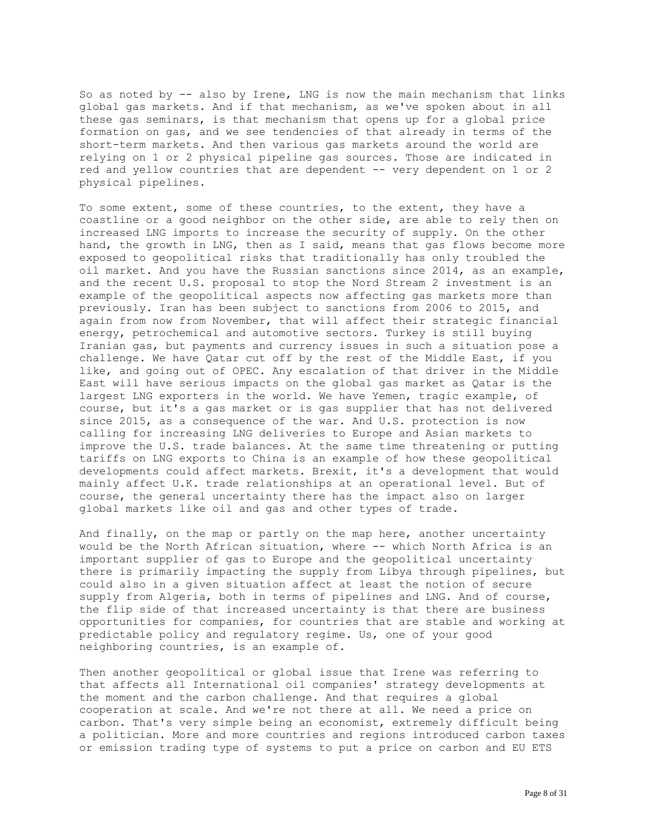So as noted by -- also by Irene, LNG is now the main mechanism that links global gas markets. And if that mechanism, as we've spoken about in all these gas seminars, is that mechanism that opens up for a global price formation on gas, and we see tendencies of that already in terms of the short-term markets. And then various gas markets around the world are relying on 1 or 2 physical pipeline gas sources. Those are indicated in red and yellow countries that are dependent -- very dependent on 1 or 2 physical pipelines.

To some extent, some of these countries, to the extent, they have a coastline or a good neighbor on the other side, are able to rely then on increased LNG imports to increase the security of supply. On the other hand, the growth in LNG, then as I said, means that gas flows become more exposed to geopolitical risks that traditionally has only troubled the oil market. And you have the Russian sanctions since 2014, as an example, and the recent U.S. proposal to stop the Nord Stream 2 investment is an example of the geopolitical aspects now affecting gas markets more than previously. Iran has been subject to sanctions from 2006 to 2015, and again from now from November, that will affect their strategic financial energy, petrochemical and automotive sectors. Turkey is still buying Iranian gas, but payments and currency issues in such a situation pose a challenge. We have Qatar cut off by the rest of the Middle East, if you like, and going out of OPEC. Any escalation of that driver in the Middle East will have serious impacts on the global gas market as Qatar is the largest LNG exporters in the world. We have Yemen, tragic example, of course, but it's a gas market or is gas supplier that has not delivered since 2015, as a consequence of the war. And U.S. protection is now calling for increasing LNG deliveries to Europe and Asian markets to improve the U.S. trade balances. At the same time threatening or putting tariffs on LNG exports to China is an example of how these geopolitical developments could affect markets. Brexit, it's a development that would mainly affect U.K. trade relationships at an operational level. But of course, the general uncertainty there has the impact also on larger global markets like oil and gas and other types of trade.

And finally, on the map or partly on the map here, another uncertainty would be the North African situation, where -- which North Africa is an important supplier of gas to Europe and the geopolitical uncertainty there is primarily impacting the supply from Libya through pipelines, but could also in a given situation affect at least the notion of secure supply from Algeria, both in terms of pipelines and LNG. And of course, the flip side of that increased uncertainty is that there are business opportunities for companies, for countries that are stable and working at predictable policy and regulatory regime. Us, one of your good neighboring countries, is an example of.

Then another geopolitical or global issue that Irene was referring to that affects all International oil companies' strategy developments at the moment and the carbon challenge. And that requires a global cooperation at scale. And we're not there at all. We need a price on carbon. That's very simple being an economist, extremely difficult being a politician. More and more countries and regions introduced carbon taxes or emission trading type of systems to put a price on carbon and EU ETS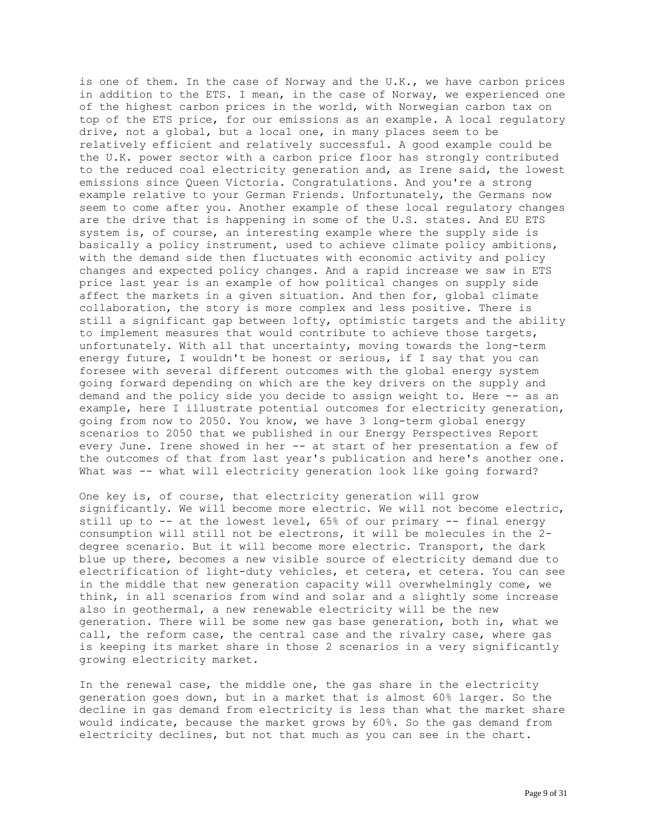is one of them. In the case of Norway and the U.K., we have carbon prices in addition to the ETS. I mean, in the case of Norway, we experienced one of the highest carbon prices in the world, with Norwegian carbon tax on top of the ETS price, for our emissions as an example. A local regulatory drive, not a global, but a local one, in many places seem to be relatively efficient and relatively successful. A good example could be the U.K. power sector with a carbon price floor has strongly contributed to the reduced coal electricity generation and, as Irene said, the lowest emissions since Queen Victoria. Congratulations. And you're a strong example relative to your German Friends. Unfortunately, the Germans now seem to come after you. Another example of these local regulatory changes are the drive that is happening in some of the U.S. states. And EU ETS system is, of course, an interesting example where the supply side is basically a policy instrument, used to achieve climate policy ambitions, with the demand side then fluctuates with economic activity and policy changes and expected policy changes. And a rapid increase we saw in ETS price last year is an example of how political changes on supply side affect the markets in a given situation. And then for, global climate collaboration, the story is more complex and less positive. There is still a significant gap between lofty, optimistic targets and the ability to implement measures that would contribute to achieve those targets, unfortunately. With all that uncertainty, moving towards the long-term energy future, I wouldn't be honest or serious, if I say that you can foresee with several different outcomes with the global energy system going forward depending on which are the key drivers on the supply and demand and the policy side you decide to assign weight to. Here -- as an example, here I illustrate potential outcomes for electricity generation, going from now to 2050. You know, we have 3 long-term global energy scenarios to 2050 that we published in our Energy Perspectives Report every June. Irene showed in her -- at start of her presentation a few of the outcomes of that from last year's publication and here's another one. What was -- what will electricity generation look like going forward?

One key is, of course, that electricity generation will grow significantly. We will become more electric. We will not become electric, still up to -- at the lowest level, 65% of our primary -- final energy consumption will still not be electrons, it will be molecules in the 2 degree scenario. But it will become more electric. Transport, the dark blue up there, becomes a new visible source of electricity demand due to electrification of light-duty vehicles, et cetera, et cetera. You can see in the middle that new generation capacity will overwhelmingly come, we think, in all scenarios from wind and solar and a slightly some increase also in geothermal, a new renewable electricity will be the new generation. There will be some new gas base generation, both in, what we call, the reform case, the central case and the rivalry case, where gas is keeping its market share in those 2 scenarios in a very significantly growing electricity market.

In the renewal case, the middle one, the gas share in the electricity generation goes down, but in a market that is almost 60% larger. So the decline in gas demand from electricity is less than what the market share would indicate, because the market grows by 60%. So the gas demand from electricity declines, but not that much as you can see in the chart.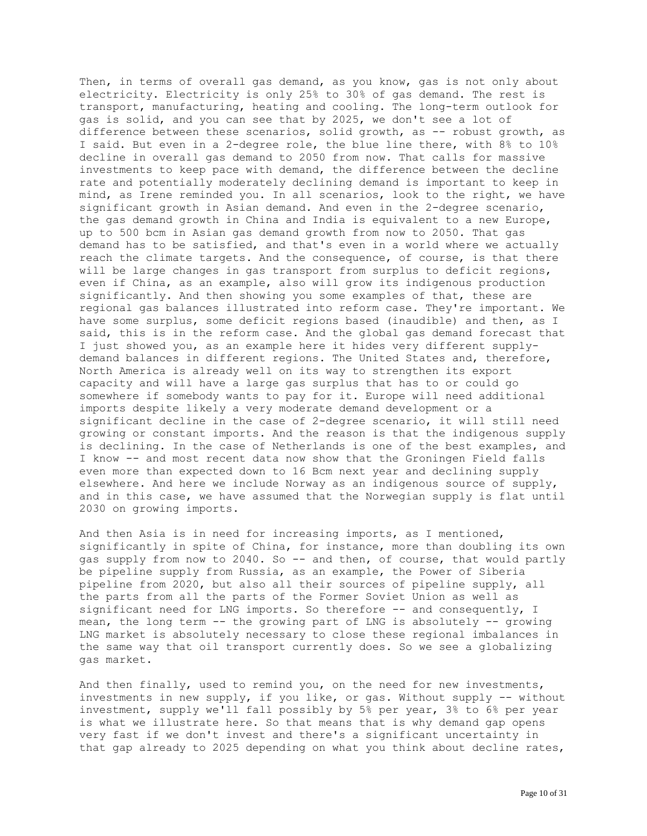Then, in terms of overall gas demand, as you know, gas is not only about electricity. Electricity is only 25% to 30% of gas demand. The rest is transport, manufacturing, heating and cooling. The long-term outlook for gas is solid, and you can see that by 2025, we don't see a lot of difference between these scenarios, solid growth, as -- robust growth, as I said. But even in a 2-degree role, the blue line there, with 8% to 10% decline in overall gas demand to 2050 from now. That calls for massive investments to keep pace with demand, the difference between the decline rate and potentially moderately declining demand is important to keep in mind, as Irene reminded you. In all scenarios, look to the right, we have significant growth in Asian demand. And even in the 2-degree scenario, the gas demand growth in China and India is equivalent to a new Europe, up to 500 bcm in Asian gas demand growth from now to 2050. That gas demand has to be satisfied, and that's even in a world where we actually reach the climate targets. And the consequence, of course, is that there will be large changes in gas transport from surplus to deficit regions, even if China, as an example, also will grow its indigenous production significantly. And then showing you some examples of that, these are regional gas balances illustrated into reform case. They're important. We have some surplus, some deficit regions based (inaudible) and then, as I said, this is in the reform case. And the global gas demand forecast that I just showed you, as an example here it hides very different supplydemand balances in different regions. The United States and, therefore, North America is already well on its way to strengthen its export capacity and will have a large gas surplus that has to or could go somewhere if somebody wants to pay for it. Europe will need additional imports despite likely a very moderate demand development or a significant decline in the case of 2-degree scenario, it will still need growing or constant imports. And the reason is that the indigenous supply is declining. In the case of Netherlands is one of the best examples, and I know -- and most recent data now show that the Groningen Field falls even more than expected down to 16 Bcm next year and declining supply elsewhere. And here we include Norway as an indigenous source of supply, and in this case, we have assumed that the Norwegian supply is flat until 2030 on growing imports.

And then Asia is in need for increasing imports, as I mentioned, significantly in spite of China, for instance, more than doubling its own gas supply from now to 2040. So -- and then, of course, that would partly be pipeline supply from Russia, as an example, the Power of Siberia pipeline from 2020, but also all their sources of pipeline supply, all the parts from all the parts of the Former Soviet Union as well as significant need for LNG imports. So therefore -- and consequently, I mean, the long term -- the growing part of LNG is absolutely -- growing LNG market is absolutely necessary to close these regional imbalances in the same way that oil transport currently does. So we see a globalizing gas market.

And then finally, used to remind you, on the need for new investments, investments in new supply, if you like, or gas. Without supply -- without investment, supply we'll fall possibly by 5% per year, 3% to 6% per year is what we illustrate here. So that means that is why demand gap opens very fast if we don't invest and there's a significant uncertainty in that gap already to 2025 depending on what you think about decline rates,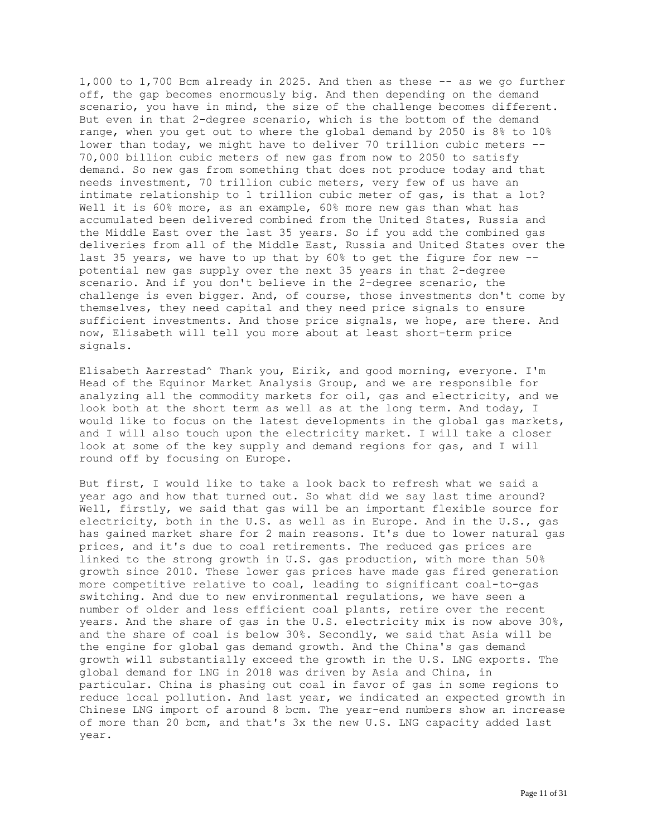1,000 to 1,700 Bcm already in 2025. And then as these -- as we go further off, the gap becomes enormously big. And then depending on the demand scenario, you have in mind, the size of the challenge becomes different. But even in that 2-degree scenario, which is the bottom of the demand range, when you get out to where the global demand by 2050 is 8% to 10% lower than today, we might have to deliver 70 trillion cubic meters -- 70,000 billion cubic meters of new gas from now to 2050 to satisfy demand. So new gas from something that does not produce today and that needs investment, 70 trillion cubic meters, very few of us have an intimate relationship to 1 trillion cubic meter of gas, is that a lot? Well it is 60% more, as an example, 60% more new gas than what has accumulated been delivered combined from the United States, Russia and the Middle East over the last 35 years. So if you add the combined gas deliveries from all of the Middle East, Russia and United States over the last 35 years, we have to up that by 60% to get the figure for new - potential new gas supply over the next 35 years in that 2-degree scenario. And if you don't believe in the 2-degree scenario, the challenge is even bigger. And, of course, those investments don't come by themselves, they need capital and they need price signals to ensure sufficient investments. And those price signals, we hope, are there. And now, Elisabeth will tell you more about at least short-term price signals.

Elisabeth Aarrestad^ Thank you, Eirik, and good morning, everyone. I'm Head of the Equinor Market Analysis Group, and we are responsible for analyzing all the commodity markets for oil, gas and electricity, and we look both at the short term as well as at the long term. And today, I would like to focus on the latest developments in the global gas markets, and I will also touch upon the electricity market. I will take a closer look at some of the key supply and demand regions for gas, and I will round off by focusing on Europe.

But first, I would like to take a look back to refresh what we said a year ago and how that turned out. So what did we say last time around? Well, firstly, we said that gas will be an important flexible source for electricity, both in the U.S. as well as in Europe. And in the U.S., gas has gained market share for 2 main reasons. It's due to lower natural gas prices, and it's due to coal retirements. The reduced gas prices are linked to the strong growth in U.S. gas production, with more than 50% growth since 2010. These lower gas prices have made gas fired generation more competitive relative to coal, leading to significant coal-to-gas switching. And due to new environmental regulations, we have seen a number of older and less efficient coal plants, retire over the recent years. And the share of gas in the U.S. electricity mix is now above 30%, and the share of coal is below 30%. Secondly, we said that Asia will be the engine for global gas demand growth. And the China's gas demand growth will substantially exceed the growth in the U.S. LNG exports. The global demand for LNG in 2018 was driven by Asia and China, in particular. China is phasing out coal in favor of gas in some regions to reduce local pollution. And last year, we indicated an expected growth in Chinese LNG import of around 8 bcm. The year-end numbers show an increase of more than 20 bcm, and that's 3x the new U.S. LNG capacity added last year.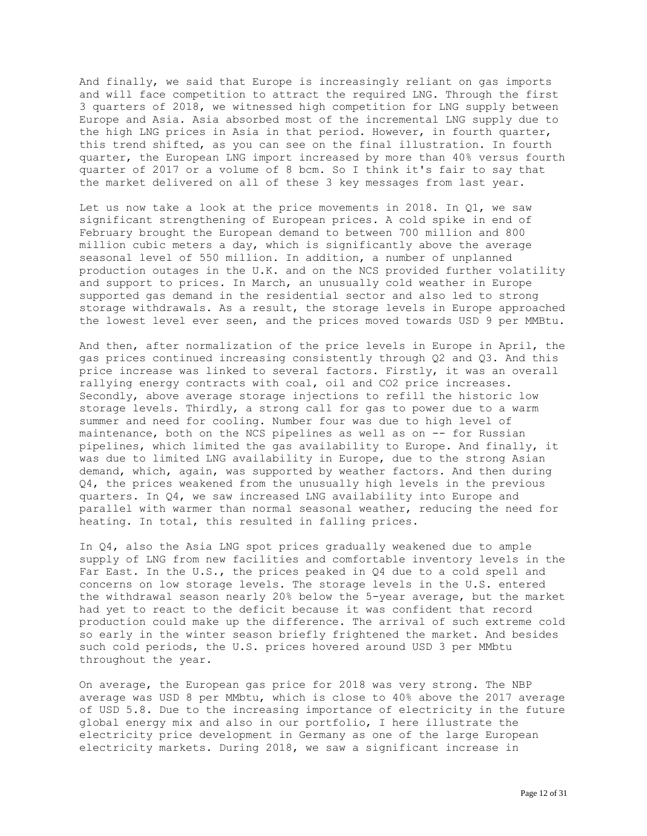And finally, we said that Europe is increasingly reliant on gas imports and will face competition to attract the required LNG. Through the first 3 quarters of 2018, we witnessed high competition for LNG supply between Europe and Asia. Asia absorbed most of the incremental LNG supply due to the high LNG prices in Asia in that period. However, in fourth quarter, this trend shifted, as you can see on the final illustration. In fourth quarter, the European LNG import increased by more than 40% versus fourth quarter of 2017 or a volume of 8 bcm. So I think it's fair to say that the market delivered on all of these 3 key messages from last year.

Let us now take a look at the price movements in 2018. In  $Q1$ , we saw significant strengthening of European prices. A cold spike in end of February brought the European demand to between 700 million and 800 million cubic meters a day, which is significantly above the average seasonal level of 550 million. In addition, a number of unplanned production outages in the U.K. and on the NCS provided further volatility and support to prices. In March, an unusually cold weather in Europe supported gas demand in the residential sector and also led to strong storage withdrawals. As a result, the storage levels in Europe approached the lowest level ever seen, and the prices moved towards USD 9 per MMBtu.

And then, after normalization of the price levels in Europe in April, the gas prices continued increasing consistently through Q2 and Q3. And this price increase was linked to several factors. Firstly, it was an overall rallying energy contracts with coal, oil and CO2 price increases. Secondly, above average storage injections to refill the historic low storage levels. Thirdly, a strong call for gas to power due to a warm summer and need for cooling. Number four was due to high level of maintenance, both on the NCS pipelines as well as on -- for Russian pipelines, which limited the gas availability to Europe. And finally, it was due to limited LNG availability in Europe, due to the strong Asian demand, which, again, was supported by weather factors. And then during Q4, the prices weakened from the unusually high levels in the previous quarters. In Q4, we saw increased LNG availability into Europe and parallel with warmer than normal seasonal weather, reducing the need for heating. In total, this resulted in falling prices.

In Q4, also the Asia LNG spot prices gradually weakened due to ample supply of LNG from new facilities and comfortable inventory levels in the Far East. In the U.S., the prices peaked in  $Q4$  due to a cold spell and concerns on low storage levels. The storage levels in the U.S. entered the withdrawal season nearly 20% below the 5-year average, but the market had yet to react to the deficit because it was confident that record production could make up the difference. The arrival of such extreme cold so early in the winter season briefly frightened the market. And besides such cold periods, the U.S. prices hovered around USD 3 per MMbtu throughout the year.

On average, the European gas price for 2018 was very strong. The NBP average was USD 8 per MMbtu, which is close to 40% above the 2017 average of USD 5.8. Due to the increasing importance of electricity in the future global energy mix and also in our portfolio, I here illustrate the electricity price development in Germany as one of the large European electricity markets. During 2018, we saw a significant increase in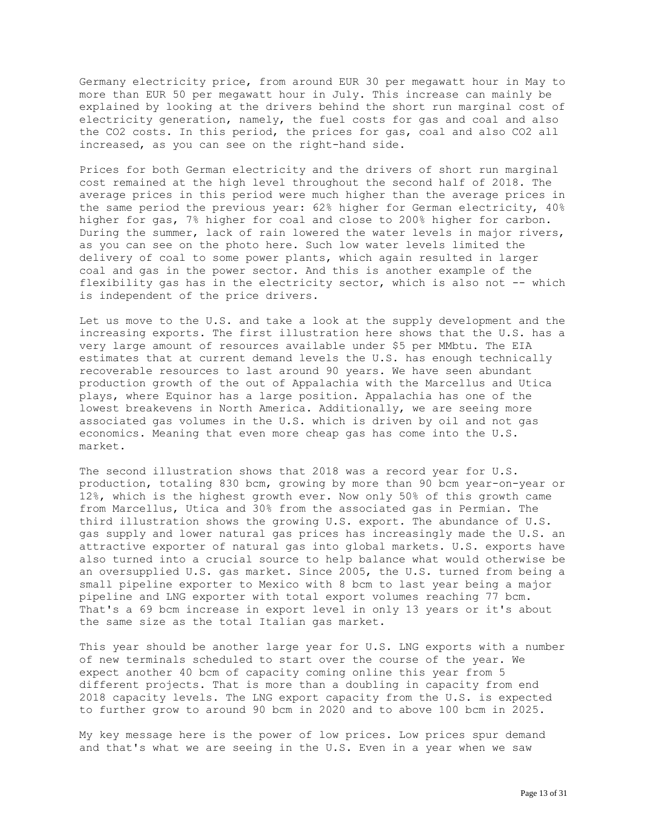Germany electricity price, from around EUR 30 per megawatt hour in May to more than EUR 50 per megawatt hour in July. This increase can mainly be explained by looking at the drivers behind the short run marginal cost of electricity generation, namely, the fuel costs for gas and coal and also the CO2 costs. In this period, the prices for gas, coal and also CO2 all increased, as you can see on the right-hand side.

Prices for both German electricity and the drivers of short run marginal cost remained at the high level throughout the second half of 2018. The average prices in this period were much higher than the average prices in the same period the previous year: 62% higher for German electricity, 40% higher for gas, 7% higher for coal and close to 200% higher for carbon. During the summer, lack of rain lowered the water levels in major rivers, as you can see on the photo here. Such low water levels limited the delivery of coal to some power plants, which again resulted in larger coal and gas in the power sector. And this is another example of the flexibility gas has in the electricity sector, which is also not -- which is independent of the price drivers.

Let us move to the U.S. and take a look at the supply development and the increasing exports. The first illustration here shows that the U.S. has a very large amount of resources available under \$5 per MMbtu. The EIA estimates that at current demand levels the U.S. has enough technically recoverable resources to last around 90 years. We have seen abundant production growth of the out of Appalachia with the Marcellus and Utica plays, where Equinor has a large position. Appalachia has one of the lowest breakevens in North America. Additionally, we are seeing more associated gas volumes in the U.S. which is driven by oil and not gas economics. Meaning that even more cheap gas has come into the U.S. market.

The second illustration shows that 2018 was a record year for U.S. production, totaling 830 bcm, growing by more than 90 bcm year-on-year or 12%, which is the highest growth ever. Now only 50% of this growth came from Marcellus, Utica and 30% from the associated gas in Permian. The third illustration shows the growing U.S. export. The abundance of U.S. gas supply and lower natural gas prices has increasingly made the U.S. an attractive exporter of natural gas into global markets. U.S. exports have also turned into a crucial source to help balance what would otherwise be an oversupplied U.S. gas market. Since 2005, the U.S. turned from being a small pipeline exporter to Mexico with 8 bcm to last year being a major pipeline and LNG exporter with total export volumes reaching 77 bcm. That's a 69 bcm increase in export level in only 13 years or it's about the same size as the total Italian gas market.

This year should be another large year for U.S. LNG exports with a number of new terminals scheduled to start over the course of the year. We expect another 40 bcm of capacity coming online this year from 5 different projects. That is more than a doubling in capacity from end 2018 capacity levels. The LNG export capacity from the U.S. is expected to further grow to around 90 bcm in 2020 and to above 100 bcm in 2025.

My key message here is the power of low prices. Low prices spur demand and that's what we are seeing in the U.S. Even in a year when we saw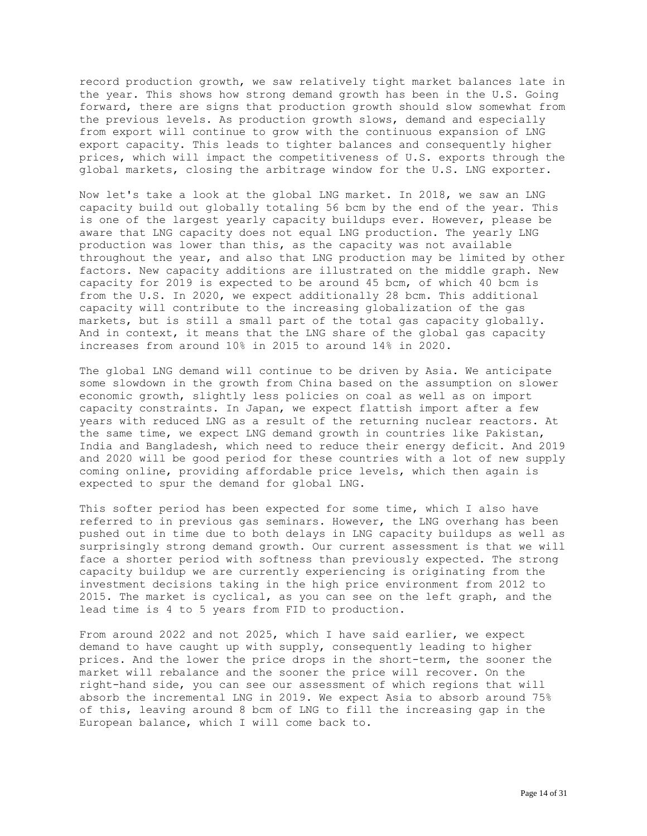record production growth, we saw relatively tight market balances late in the year. This shows how strong demand growth has been in the U.S. Going forward, there are signs that production growth should slow somewhat from the previous levels. As production growth slows, demand and especially from export will continue to grow with the continuous expansion of LNG export capacity. This leads to tighter balances and consequently higher prices, which will impact the competitiveness of U.S. exports through the global markets, closing the arbitrage window for the U.S. LNG exporter.

Now let's take a look at the global LNG market. In 2018, we saw an LNG capacity build out globally totaling 56 bcm by the end of the year. This is one of the largest yearly capacity buildups ever. However, please be aware that LNG capacity does not equal LNG production. The yearly LNG production was lower than this, as the capacity was not available throughout the year, and also that LNG production may be limited by other factors. New capacity additions are illustrated on the middle graph. New capacity for 2019 is expected to be around 45 bcm, of which 40 bcm is from the U.S. In 2020, we expect additionally 28 bcm. This additional capacity will contribute to the increasing globalization of the gas markets, but is still a small part of the total gas capacity globally. And in context, it means that the LNG share of the global gas capacity increases from around 10% in 2015 to around 14% in 2020.

The global LNG demand will continue to be driven by Asia. We anticipate some slowdown in the growth from China based on the assumption on slower economic growth, slightly less policies on coal as well as on import capacity constraints. In Japan, we expect flattish import after a few years with reduced LNG as a result of the returning nuclear reactors. At the same time, we expect LNG demand growth in countries like Pakistan, India and Bangladesh, which need to reduce their energy deficit. And 2019 and 2020 will be good period for these countries with a lot of new supply coming online, providing affordable price levels, which then again is expected to spur the demand for global LNG.

This softer period has been expected for some time, which I also have referred to in previous gas seminars. However, the LNG overhang has been pushed out in time due to both delays in LNG capacity buildups as well as surprisingly strong demand growth. Our current assessment is that we will face a shorter period with softness than previously expected. The strong capacity buildup we are currently experiencing is originating from the investment decisions taking in the high price environment from 2012 to 2015. The market is cyclical, as you can see on the left graph, and the lead time is 4 to 5 years from FID to production.

From around 2022 and not 2025, which I have said earlier, we expect demand to have caught up with supply, consequently leading to higher prices. And the lower the price drops in the short-term, the sooner the market will rebalance and the sooner the price will recover. On the right-hand side, you can see our assessment of which regions that will absorb the incremental LNG in 2019. We expect Asia to absorb around 75% of this, leaving around 8 bcm of LNG to fill the increasing gap in the European balance, which I will come back to.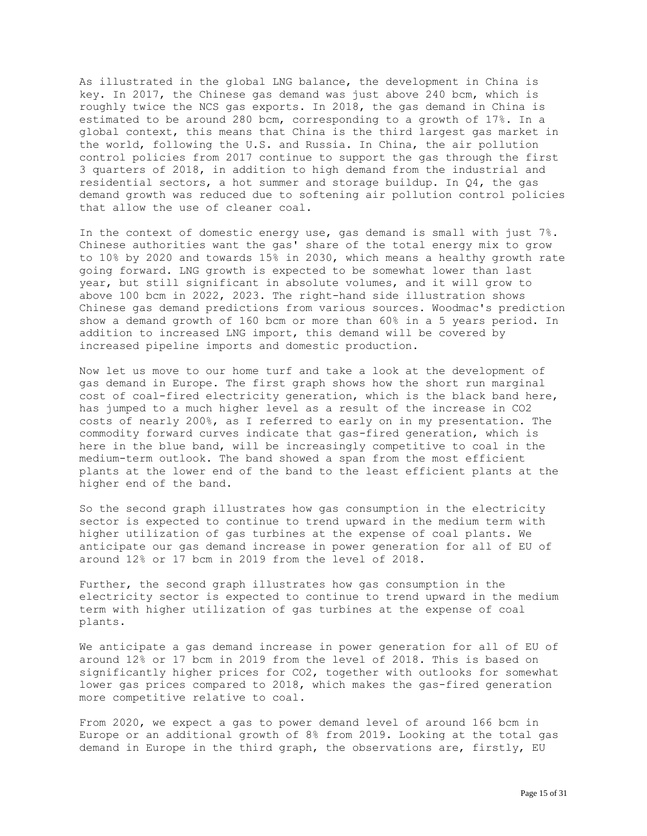As illustrated in the global LNG balance, the development in China is key. In 2017, the Chinese gas demand was just above 240 bcm, which is roughly twice the NCS gas exports. In 2018, the gas demand in China is estimated to be around 280 bcm, corresponding to a growth of 17%. In a global context, this means that China is the third largest gas market in the world, following the U.S. and Russia. In China, the air pollution control policies from 2017 continue to support the gas through the first 3 quarters of 2018, in addition to high demand from the industrial and residential sectors, a hot summer and storage buildup. In Q4, the gas demand growth was reduced due to softening air pollution control policies that allow the use of cleaner coal.

In the context of domestic energy use, gas demand is small with just 7%. Chinese authorities want the gas' share of the total energy mix to grow to 10% by 2020 and towards 15% in 2030, which means a healthy growth rate going forward. LNG growth is expected to be somewhat lower than last year, but still significant in absolute volumes, and it will grow to above 100 bcm in 2022, 2023. The right-hand side illustration shows Chinese gas demand predictions from various sources. Woodmac's prediction show a demand growth of 160 bcm or more than 60% in a 5 years period. In addition to increased LNG import, this demand will be covered by increased pipeline imports and domestic production.

Now let us move to our home turf and take a look at the development of gas demand in Europe. The first graph shows how the short run marginal cost of coal-fired electricity generation, which is the black band here, has jumped to a much higher level as a result of the increase in CO2 costs of nearly 200%, as I referred to early on in my presentation. The commodity forward curves indicate that gas-fired generation, which is here in the blue band, will be increasingly competitive to coal in the medium-term outlook. The band showed a span from the most efficient plants at the lower end of the band to the least efficient plants at the higher end of the band.

So the second graph illustrates how gas consumption in the electricity sector is expected to continue to trend upward in the medium term with higher utilization of gas turbines at the expense of coal plants. We anticipate our gas demand increase in power generation for all of EU of around 12% or 17 bcm in 2019 from the level of 2018.

Further, the second graph illustrates how gas consumption in the electricity sector is expected to continue to trend upward in the medium term with higher utilization of gas turbines at the expense of coal plants.

We anticipate a gas demand increase in power generation for all of EU of around 12% or 17 bcm in 2019 from the level of 2018. This is based on significantly higher prices for CO2, together with outlooks for somewhat lower gas prices compared to 2018, which makes the gas-fired generation more competitive relative to coal.

From 2020, we expect a gas to power demand level of around 166 bcm in Europe or an additional growth of 8% from 2019. Looking at the total gas demand in Europe in the third graph, the observations are, firstly, EU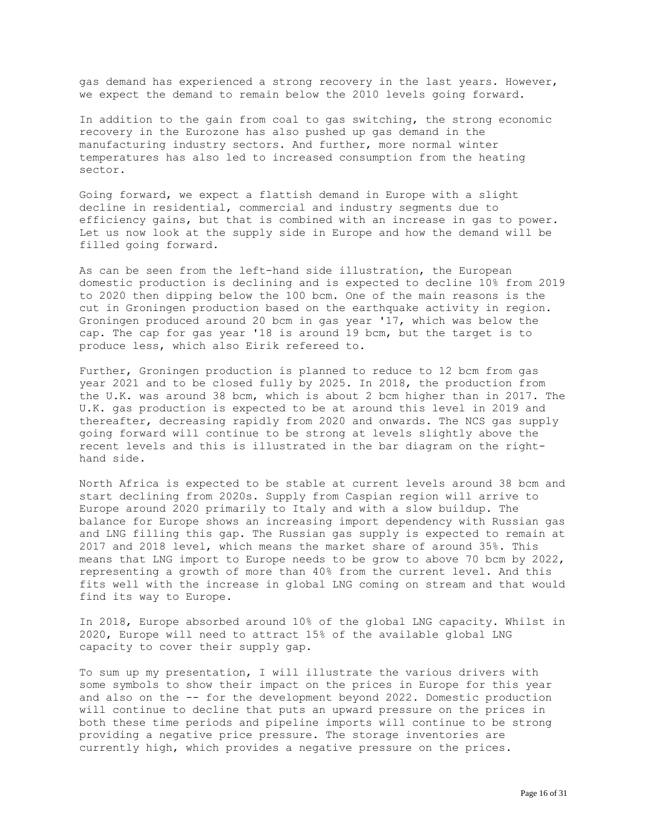gas demand has experienced a strong recovery in the last years. However, we expect the demand to remain below the 2010 levels going forward.

In addition to the gain from coal to gas switching, the strong economic recovery in the Eurozone has also pushed up gas demand in the manufacturing industry sectors. And further, more normal winter temperatures has also led to increased consumption from the heating sector.

Going forward, we expect a flattish demand in Europe with a slight decline in residential, commercial and industry segments due to efficiency gains, but that is combined with an increase in gas to power. Let us now look at the supply side in Europe and how the demand will be filled going forward.

As can be seen from the left-hand side illustration, the European domestic production is declining and is expected to decline 10% from 2019 to 2020 then dipping below the 100 bcm. One of the main reasons is the cut in Groningen production based on the earthquake activity in region. Groningen produced around 20 bcm in gas year '17, which was below the cap. The cap for gas year '18 is around 19 bcm, but the target is to produce less, which also Eirik refereed to.

Further, Groningen production is planned to reduce to 12 bcm from gas year 2021 and to be closed fully by 2025. In 2018, the production from the U.K. was around 38 bcm, which is about 2 bcm higher than in 2017. The U.K. gas production is expected to be at around this level in 2019 and thereafter, decreasing rapidly from 2020 and onwards. The NCS gas supply going forward will continue to be strong at levels slightly above the recent levels and this is illustrated in the bar diagram on the righthand side.

North Africa is expected to be stable at current levels around 38 bcm and start declining from 2020s. Supply from Caspian region will arrive to Europe around 2020 primarily to Italy and with a slow buildup. The balance for Europe shows an increasing import dependency with Russian gas and LNG filling this gap. The Russian gas supply is expected to remain at 2017 and 2018 level, which means the market share of around 35%. This means that LNG import to Europe needs to be grow to above 70 bcm by 2022, representing a growth of more than 40% from the current level. And this fits well with the increase in global LNG coming on stream and that would find its way to Europe.

In 2018, Europe absorbed around 10% of the global LNG capacity. Whilst in 2020, Europe will need to attract 15% of the available global LNG capacity to cover their supply gap.

To sum up my presentation, I will illustrate the various drivers with some symbols to show their impact on the prices in Europe for this year and also on the -- for the development beyond 2022. Domestic production will continue to decline that puts an upward pressure on the prices in both these time periods and pipeline imports will continue to be strong providing a negative price pressure. The storage inventories are currently high, which provides a negative pressure on the prices.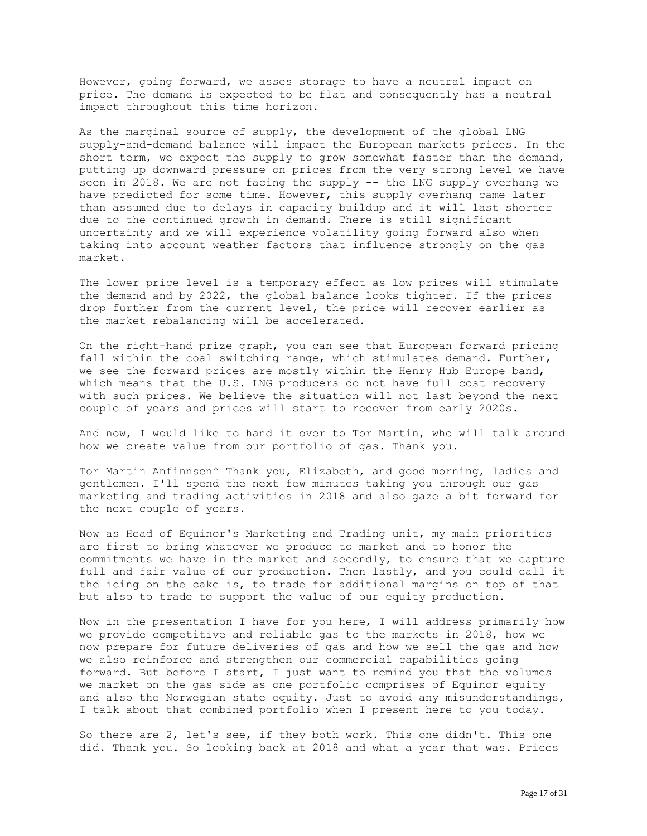However, going forward, we asses storage to have a neutral impact on price. The demand is expected to be flat and consequently has a neutral impact throughout this time horizon.

As the marginal source of supply, the development of the global LNG supply-and-demand balance will impact the European markets prices. In the short term, we expect the supply to grow somewhat faster than the demand, putting up downward pressure on prices from the very strong level we have seen in 2018. We are not facing the supply -- the LNG supply overhang we have predicted for some time. However, this supply overhang came later than assumed due to delays in capacity buildup and it will last shorter due to the continued growth in demand. There is still significant uncertainty and we will experience volatility going forward also when taking into account weather factors that influence strongly on the gas market.

The lower price level is a temporary effect as low prices will stimulate the demand and by 2022, the global balance looks tighter. If the prices drop further from the current level, the price will recover earlier as the market rebalancing will be accelerated.

On the right-hand prize graph, you can see that European forward pricing fall within the coal switching range, which stimulates demand. Further, we see the forward prices are mostly within the Henry Hub Europe band, which means that the U.S. LNG producers do not have full cost recovery with such prices. We believe the situation will not last beyond the next couple of years and prices will start to recover from early 2020s.

And now, I would like to hand it over to Tor Martin, who will talk around how we create value from our portfolio of gas. Thank you.

Tor Martin Anfinnsen^ Thank you, Elizabeth, and good morning, ladies and gentlemen. I'll spend the next few minutes taking you through our gas marketing and trading activities in 2018 and also gaze a bit forward for the next couple of years.

Now as Head of Equinor's Marketing and Trading unit, my main priorities are first to bring whatever we produce to market and to honor the commitments we have in the market and secondly, to ensure that we capture full and fair value of our production. Then lastly, and you could call it the icing on the cake is, to trade for additional margins on top of that but also to trade to support the value of our equity production.

Now in the presentation I have for you here, I will address primarily how we provide competitive and reliable gas to the markets in 2018, how we now prepare for future deliveries of gas and how we sell the gas and how we also reinforce and strengthen our commercial capabilities going forward. But before I start, I just want to remind you that the volumes we market on the gas side as one portfolio comprises of Equinor equity and also the Norwegian state equity. Just to avoid any misunderstandings, I talk about that combined portfolio when I present here to you today.

So there are 2, let's see, if they both work. This one didn't. This one did. Thank you. So looking back at 2018 and what a year that was. Prices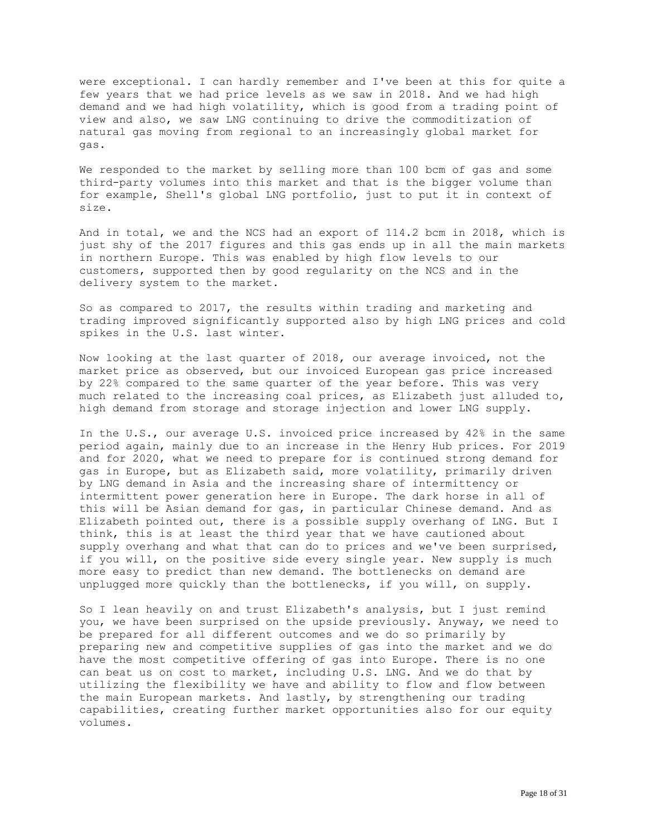were exceptional. I can hardly remember and I've been at this for quite a few years that we had price levels as we saw in 2018. And we had high demand and we had high volatility, which is good from a trading point of view and also, we saw LNG continuing to drive the commoditization of natural gas moving from regional to an increasingly global market for gas.

We responded to the market by selling more than 100 bcm of gas and some third-party volumes into this market and that is the bigger volume than for example, Shell's global LNG portfolio, just to put it in context of size.

And in total, we and the NCS had an export of 114.2 bcm in 2018, which is just shy of the 2017 figures and this gas ends up in all the main markets in northern Europe. This was enabled by high flow levels to our customers, supported then by good regularity on the NCS and in the delivery system to the market.

So as compared to 2017, the results within trading and marketing and trading improved significantly supported also by high LNG prices and cold spikes in the U.S. last winter.

Now looking at the last quarter of 2018, our average invoiced, not the market price as observed, but our invoiced European gas price increased by 22% compared to the same quarter of the year before. This was very much related to the increasing coal prices, as Elizabeth just alluded to, high demand from storage and storage injection and lower LNG supply.

In the U.S., our average U.S. invoiced price increased by 42% in the same period again, mainly due to an increase in the Henry Hub prices. For 2019 and for 2020, what we need to prepare for is continued strong demand for gas in Europe, but as Elizabeth said, more volatility, primarily driven by LNG demand in Asia and the increasing share of intermittency or intermittent power generation here in Europe. The dark horse in all of this will be Asian demand for gas, in particular Chinese demand. And as Elizabeth pointed out, there is a possible supply overhang of LNG. But I think, this is at least the third year that we have cautioned about supply overhang and what that can do to prices and we've been surprised, if you will, on the positive side every single year. New supply is much more easy to predict than new demand. The bottlenecks on demand are unplugged more quickly than the bottlenecks, if you will, on supply.

So I lean heavily on and trust Elizabeth's analysis, but I just remind you, we have been surprised on the upside previously. Anyway, we need to be prepared for all different outcomes and we do so primarily by preparing new and competitive supplies of gas into the market and we do have the most competitive offering of gas into Europe. There is no one can beat us on cost to market, including U.S. LNG. And we do that by utilizing the flexibility we have and ability to flow and flow between the main European markets. And lastly, by strengthening our trading capabilities, creating further market opportunities also for our equity volumes.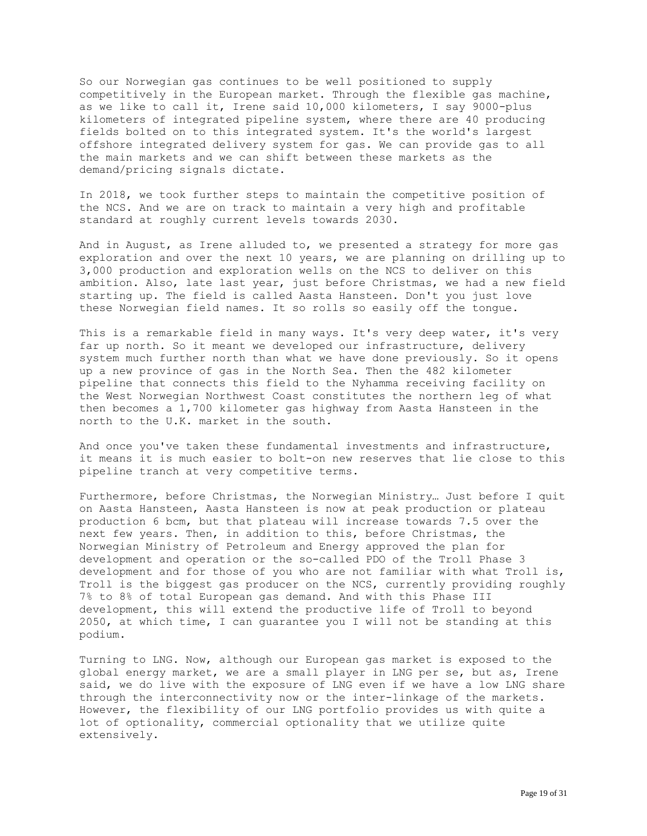So our Norwegian gas continues to be well positioned to supply competitively in the European market. Through the flexible gas machine, as we like to call it, Irene said 10,000 kilometers, I say 9000-plus kilometers of integrated pipeline system, where there are 40 producing fields bolted on to this integrated system. It's the world's largest offshore integrated delivery system for gas. We can provide gas to all the main markets and we can shift between these markets as the demand/pricing signals dictate.

In 2018, we took further steps to maintain the competitive position of the NCS. And we are on track to maintain a very high and profitable standard at roughly current levels towards 2030.

And in August, as Irene alluded to, we presented a strategy for more gas exploration and over the next 10 years, we are planning on drilling up to 3,000 production and exploration wells on the NCS to deliver on this ambition. Also, late last year, just before Christmas, we had a new field starting up. The field is called Aasta Hansteen. Don't you just love these Norwegian field names. It so rolls so easily off the tongue.

This is a remarkable field in many ways. It's very deep water, it's very far up north. So it meant we developed our infrastructure, delivery system much further north than what we have done previously. So it opens up a new province of gas in the North Sea. Then the 482 kilometer pipeline that connects this field to the Nyhamma receiving facility on the West Norwegian Northwest Coast constitutes the northern leg of what then becomes a 1,700 kilometer gas highway from Aasta Hansteen in the north to the U.K. market in the south.

And once you've taken these fundamental investments and infrastructure, it means it is much easier to bolt-on new reserves that lie close to this pipeline tranch at very competitive terms.

Furthermore, before Christmas, the Norwegian Ministry… Just before I quit on Aasta Hansteen, Aasta Hansteen is now at peak production or plateau production 6 bcm, but that plateau will increase towards 7.5 over the next few years. Then, in addition to this, before Christmas, the Norwegian Ministry of Petroleum and Energy approved the plan for development and operation or the so-called PDO of the Troll Phase 3 development and for those of you who are not familiar with what Troll is, Troll is the biggest gas producer on the NCS, currently providing roughly 7% to 8% of total European gas demand. And with this Phase III development, this will extend the productive life of Troll to beyond 2050, at which time, I can guarantee you I will not be standing at this podium.

Turning to LNG. Now, although our European gas market is exposed to the global energy market, we are a small player in LNG per se, but as, Irene said, we do live with the exposure of LNG even if we have a low LNG share through the interconnectivity now or the inter-linkage of the markets. However, the flexibility of our LNG portfolio provides us with quite a lot of optionality, commercial optionality that we utilize quite extensively.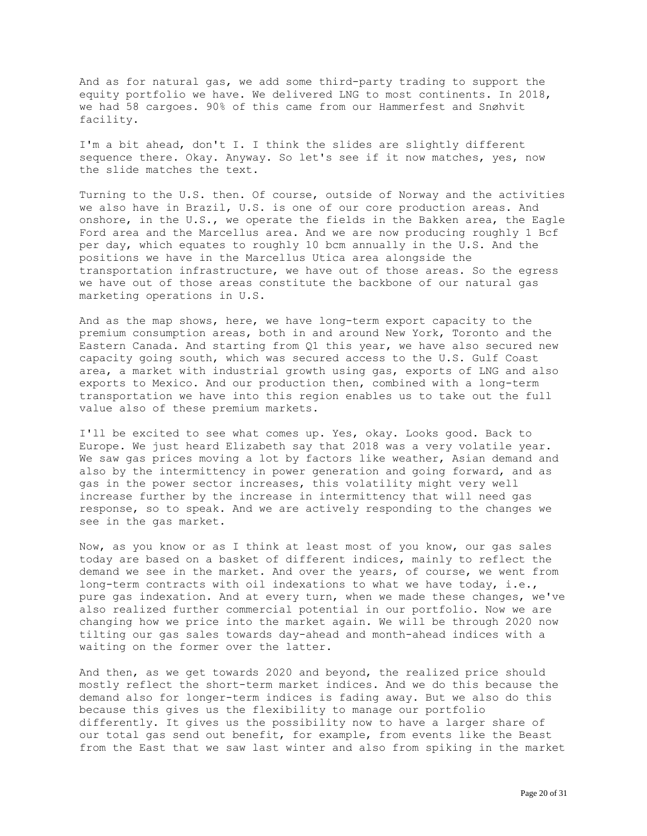And as for natural gas, we add some third-party trading to support the equity portfolio we have. We delivered LNG to most continents. In 2018, we had 58 cargoes. 90% of this came from our Hammerfest and Snøhvit facility.

I'm a bit ahead, don't I. I think the slides are slightly different sequence there. Okay. Anyway. So let's see if it now matches, yes, now the slide matches the text.

Turning to the U.S. then. Of course, outside of Norway and the activities we also have in Brazil, U.S. is one of our core production areas. And onshore, in the U.S., we operate the fields in the Bakken area, the Eagle Ford area and the Marcellus area. And we are now producing roughly 1 Bcf per day, which equates to roughly 10 bcm annually in the U.S. And the positions we have in the Marcellus Utica area alongside the transportation infrastructure, we have out of those areas. So the egress we have out of those areas constitute the backbone of our natural gas marketing operations in U.S.

And as the map shows, here, we have long-term export capacity to the premium consumption areas, both in and around New York, Toronto and the Eastern Canada. And starting from Q1 this year, we have also secured new capacity going south, which was secured access to the U.S. Gulf Coast area, a market with industrial growth using gas, exports of LNG and also exports to Mexico. And our production then, combined with a long-term transportation we have into this region enables us to take out the full value also of these premium markets.

I'll be excited to see what comes up. Yes, okay. Looks good. Back to Europe. We just heard Elizabeth say that 2018 was a very volatile year. We saw gas prices moving a lot by factors like weather, Asian demand and also by the intermittency in power generation and going forward, and as gas in the power sector increases, this volatility might very well increase further by the increase in intermittency that will need gas response, so to speak. And we are actively responding to the changes we see in the gas market.

Now, as you know or as I think at least most of you know, our gas sales today are based on a basket of different indices, mainly to reflect the demand we see in the market. And over the years, of course, we went from long-term contracts with oil indexations to what we have today, i.e., pure gas indexation. And at every turn, when we made these changes, we've also realized further commercial potential in our portfolio. Now we are changing how we price into the market again. We will be through 2020 now tilting our gas sales towards day-ahead and month-ahead indices with a waiting on the former over the latter.

And then, as we get towards 2020 and beyond, the realized price should mostly reflect the short-term market indices. And we do this because the demand also for longer-term indices is fading away. But we also do this because this gives us the flexibility to manage our portfolio differently. It gives us the possibility now to have a larger share of our total gas send out benefit, for example, from events like the Beast from the East that we saw last winter and also from spiking in the market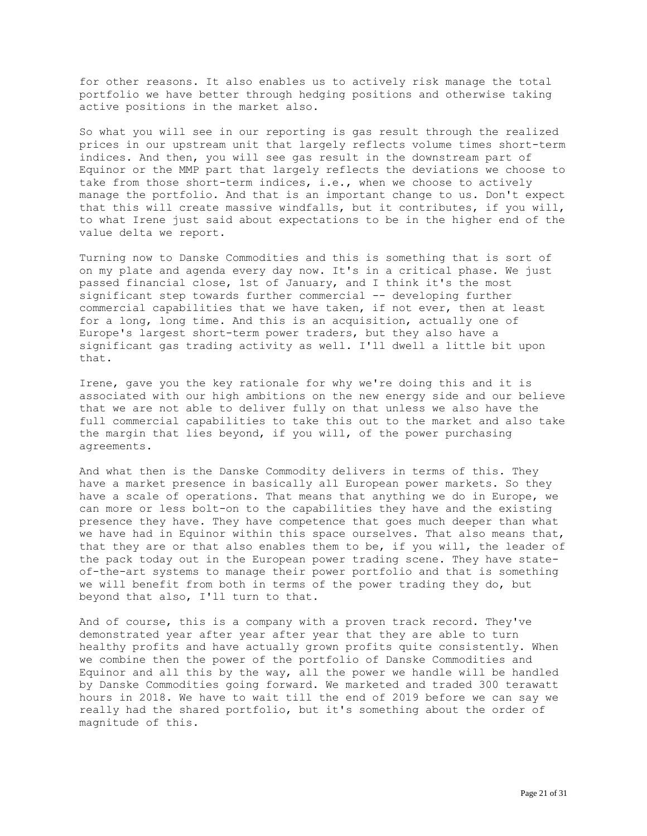for other reasons. It also enables us to actively risk manage the total portfolio we have better through hedging positions and otherwise taking active positions in the market also.

So what you will see in our reporting is gas result through the realized prices in our upstream unit that largely reflects volume times short-term indices. And then, you will see gas result in the downstream part of Equinor or the MMP part that largely reflects the deviations we choose to take from those short-term indices, i.e., when we choose to actively manage the portfolio. And that is an important change to us. Don't expect that this will create massive windfalls, but it contributes, if you will, to what Irene just said about expectations to be in the higher end of the value delta we report.

Turning now to Danske Commodities and this is something that is sort of on my plate and agenda every day now. It's in a critical phase. We just passed financial close, 1st of January, and I think it's the most significant step towards further commercial -- developing further commercial capabilities that we have taken, if not ever, then at least for a long, long time. And this is an acquisition, actually one of Europe's largest short-term power traders, but they also have a significant gas trading activity as well. I'll dwell a little bit upon that.

Irene, gave you the key rationale for why we're doing this and it is associated with our high ambitions on the new energy side and our believe that we are not able to deliver fully on that unless we also have the full commercial capabilities to take this out to the market and also take the margin that lies beyond, if you will, of the power purchasing agreements.

And what then is the Danske Commodity delivers in terms of this. They have a market presence in basically all European power markets. So they have a scale of operations. That means that anything we do in Europe, we can more or less bolt-on to the capabilities they have and the existing presence they have. They have competence that goes much deeper than what we have had in Equinor within this space ourselves. That also means that, that they are or that also enables them to be, if you will, the leader of the pack today out in the European power trading scene. They have stateof-the-art systems to manage their power portfolio and that is something we will benefit from both in terms of the power trading they do, but beyond that also, I'll turn to that.

And of course, this is a company with a proven track record. They've demonstrated year after year after year that they are able to turn healthy profits and have actually grown profits quite consistently. When we combine then the power of the portfolio of Danske Commodities and Equinor and all this by the way, all the power we handle will be handled by Danske Commodities going forward. We marketed and traded 300 terawatt hours in 2018. We have to wait till the end of 2019 before we can say we really had the shared portfolio, but it's something about the order of magnitude of this.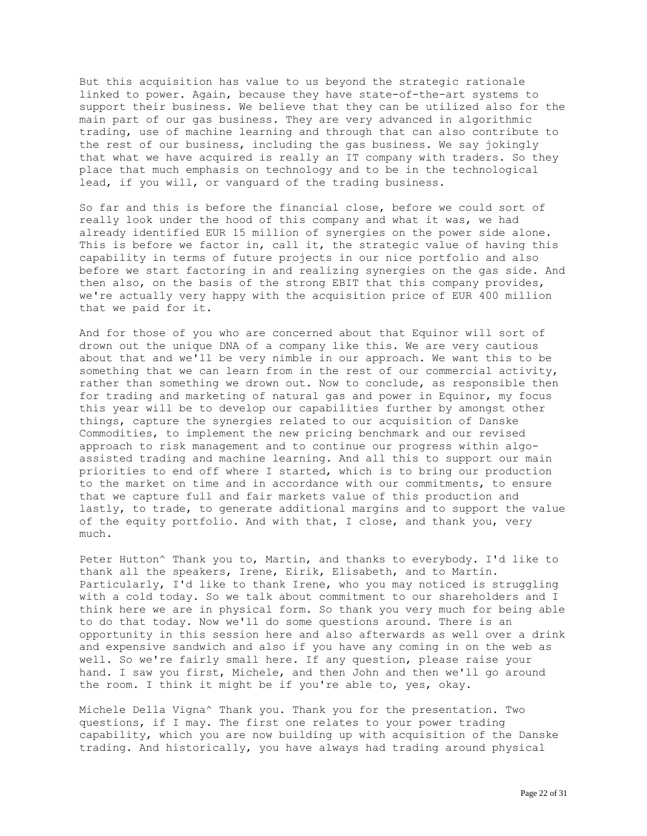But this acquisition has value to us beyond the strategic rationale linked to power. Again, because they have state-of-the-art systems to support their business. We believe that they can be utilized also for the main part of our gas business. They are very advanced in algorithmic trading, use of machine learning and through that can also contribute to the rest of our business, including the gas business. We say jokingly that what we have acquired is really an IT company with traders. So they place that much emphasis on technology and to be in the technological lead, if you will, or vanguard of the trading business.

So far and this is before the financial close, before we could sort of really look under the hood of this company and what it was, we had already identified EUR 15 million of synergies on the power side alone. This is before we factor in, call it, the strategic value of having this capability in terms of future projects in our nice portfolio and also before we start factoring in and realizing synergies on the gas side. And then also, on the basis of the strong EBIT that this company provides, we're actually very happy with the acquisition price of EUR 400 million that we paid for it.

And for those of you who are concerned about that Equinor will sort of drown out the unique DNA of a company like this. We are very cautious about that and we'll be very nimble in our approach. We want this to be something that we can learn from in the rest of our commercial activity, rather than something we drown out. Now to conclude, as responsible then for trading and marketing of natural gas and power in Equinor, my focus this year will be to develop our capabilities further by amongst other things, capture the synergies related to our acquisition of Danske Commodities, to implement the new pricing benchmark and our revised approach to risk management and to continue our progress within algoassisted trading and machine learning. And all this to support our main priorities to end off where I started, which is to bring our production to the market on time and in accordance with our commitments, to ensure that we capture full and fair markets value of this production and lastly, to trade, to generate additional margins and to support the value of the equity portfolio. And with that, I close, and thank you, very much.

Peter Hutton^ Thank you to, Martin, and thanks to everybody. I'd like to thank all the speakers, Irene, Eirik, Elisabeth, and to Martin. Particularly, I'd like to thank Irene, who you may noticed is struggling with a cold today. So we talk about commitment to our shareholders and I think here we are in physical form. So thank you very much for being able to do that today. Now we'll do some questions around. There is an opportunity in this session here and also afterwards as well over a drink and expensive sandwich and also if you have any coming in on the web as well. So we're fairly small here. If any question, please raise your hand. I saw you first, Michele, and then John and then we'll go around the room. I think it might be if you're able to, yes, okay.

Michele Della Vigna^ Thank you. Thank you for the presentation. Two questions, if I may. The first one relates to your power trading capability, which you are now building up with acquisition of the Danske trading. And historically, you have always had trading around physical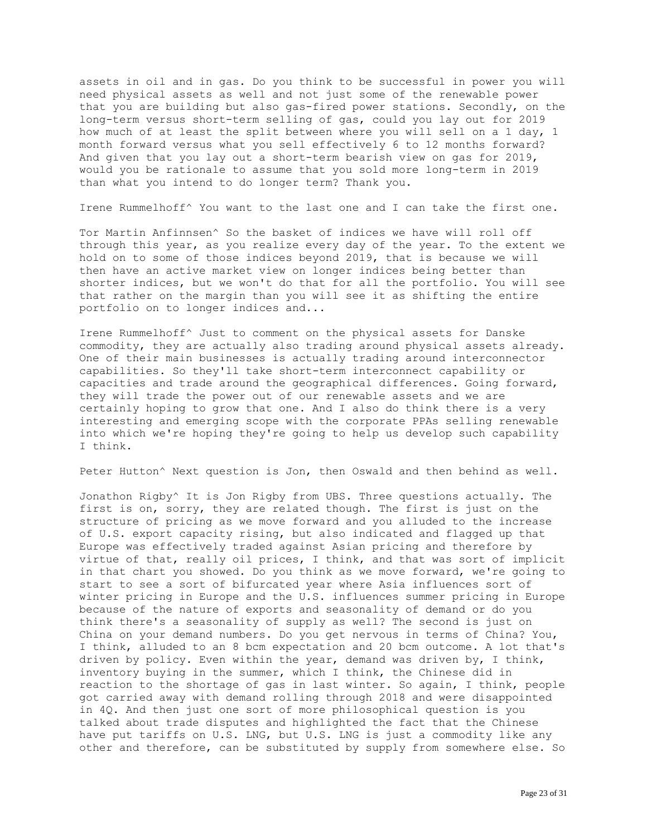assets in oil and in gas. Do you think to be successful in power you will need physical assets as well and not just some of the renewable power that you are building but also gas-fired power stations. Secondly, on the long-term versus short-term selling of gas, could you lay out for 2019 how much of at least the split between where you will sell on a 1 day, 1 month forward versus what you sell effectively 6 to 12 months forward? And given that you lay out a short-term bearish view on gas for 2019, would you be rationale to assume that you sold more long-term in 2019 than what you intend to do longer term? Thank you.

Irene Rummelhoff^ You want to the last one and I can take the first one.

Tor Martin Anfinnsen^ So the basket of indices we have will roll off through this year, as you realize every day of the year. To the extent we hold on to some of those indices beyond 2019, that is because we will then have an active market view on longer indices being better than shorter indices, but we won't do that for all the portfolio. You will see that rather on the margin than you will see it as shifting the entire portfolio on to longer indices and...

Irene Rummelhoff^ Just to comment on the physical assets for Danske commodity, they are actually also trading around physical assets already. One of their main businesses is actually trading around interconnector capabilities. So they'll take short-term interconnect capability or capacities and trade around the geographical differences. Going forward, they will trade the power out of our renewable assets and we are certainly hoping to grow that one. And I also do think there is a very interesting and emerging scope with the corporate PPAs selling renewable into which we're hoping they're going to help us develop such capability I think.

Peter Hutton<sup>^</sup> Next question is Jon, then Oswald and then behind as well.

Jonathon Rigby^ It is Jon Rigby from UBS. Three questions actually. The first is on, sorry, they are related though. The first is just on the structure of pricing as we move forward and you alluded to the increase of U.S. export capacity rising, but also indicated and flagged up that Europe was effectively traded against Asian pricing and therefore by virtue of that, really oil prices, I think, and that was sort of implicit in that chart you showed. Do you think as we move forward, we're going to start to see a sort of bifurcated year where Asia influences sort of winter pricing in Europe and the U.S. influences summer pricing in Europe because of the nature of exports and seasonality of demand or do you think there's a seasonality of supply as well? The second is just on China on your demand numbers. Do you get nervous in terms of China? You, I think, alluded to an 8 bcm expectation and 20 bcm outcome. A lot that's driven by policy. Even within the year, demand was driven by, I think, inventory buying in the summer, which I think, the Chinese did in reaction to the shortage of gas in last winter. So again, I think, people got carried away with demand rolling through 2018 and were disappointed in 4Q. And then just one sort of more philosophical question is you talked about trade disputes and highlighted the fact that the Chinese have put tariffs on U.S. LNG, but U.S. LNG is just a commodity like any other and therefore, can be substituted by supply from somewhere else. So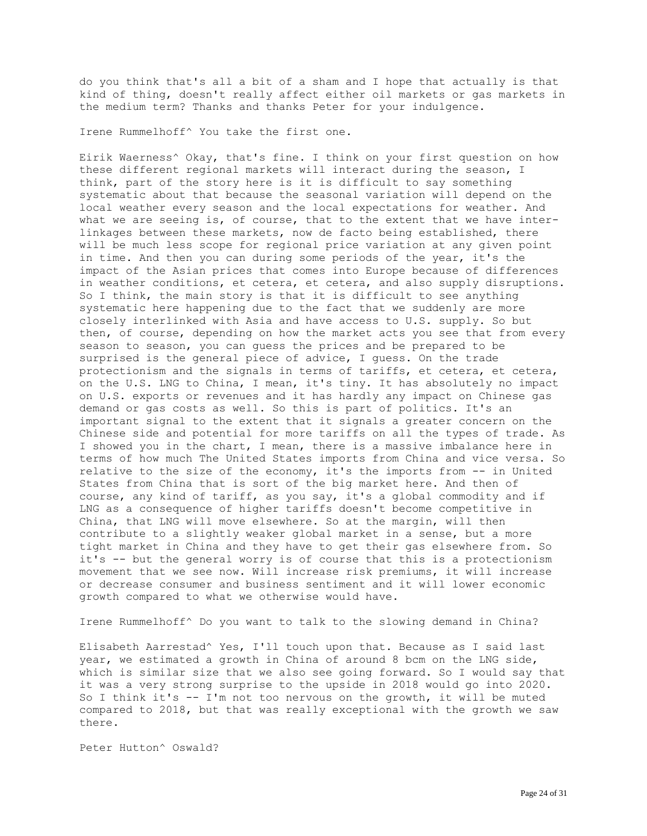do you think that's all a bit of a sham and I hope that actually is that kind of thing, doesn't really affect either oil markets or gas markets in the medium term? Thanks and thanks Peter for your indulgence.

Irene Rummelhoff^ You take the first one.

Eirik Waerness^ Okay, that's fine. I think on your first question on how these different regional markets will interact during the season, I think, part of the story here is it is difficult to say something systematic about that because the seasonal variation will depend on the local weather every season and the local expectations for weather. And what we are seeing is, of course, that to the extent that we have interlinkages between these markets, now de facto being established, there will be much less scope for regional price variation at any given point in time. And then you can during some periods of the year, it's the impact of the Asian prices that comes into Europe because of differences in weather conditions, et cetera, et cetera, and also supply disruptions. So I think, the main story is that it is difficult to see anything systematic here happening due to the fact that we suddenly are more closely interlinked with Asia and have access to U.S. supply. So but then, of course, depending on how the market acts you see that from every season to season, you can guess the prices and be prepared to be surprised is the general piece of advice, I guess. On the trade protectionism and the signals in terms of tariffs, et cetera, et cetera, on the U.S. LNG to China, I mean, it's tiny. It has absolutely no impact on U.S. exports or revenues and it has hardly any impact on Chinese gas demand or gas costs as well. So this is part of politics. It's an important signal to the extent that it signals a greater concern on the Chinese side and potential for more tariffs on all the types of trade. As I showed you in the chart, I mean, there is a massive imbalance here in terms of how much The United States imports from China and vice versa. So relative to the size of the economy, it's the imports from -- in United States from China that is sort of the big market here. And then of course, any kind of tariff, as you say, it's a global commodity and if LNG as a consequence of higher tariffs doesn't become competitive in China, that LNG will move elsewhere. So at the margin, will then contribute to a slightly weaker global market in a sense, but a more tight market in China and they have to get their gas elsewhere from. So it's -- but the general worry is of course that this is a protectionism movement that we see now. Will increase risk premiums, it will increase or decrease consumer and business sentiment and it will lower economic growth compared to what we otherwise would have.

Irene Rummelhoff^ Do you want to talk to the slowing demand in China?

Elisabeth Aarrestad^ Yes, I'll touch upon that. Because as I said last year, we estimated a growth in China of around 8 bcm on the LNG side, which is similar size that we also see going forward. So I would say that it was a very strong surprise to the upside in 2018 would go into 2020. So I think it's  $-$ - I'm not too nervous on the growth, it will be muted compared to 2018, but that was really exceptional with the growth we saw there.

Peter Hutton^ Oswald?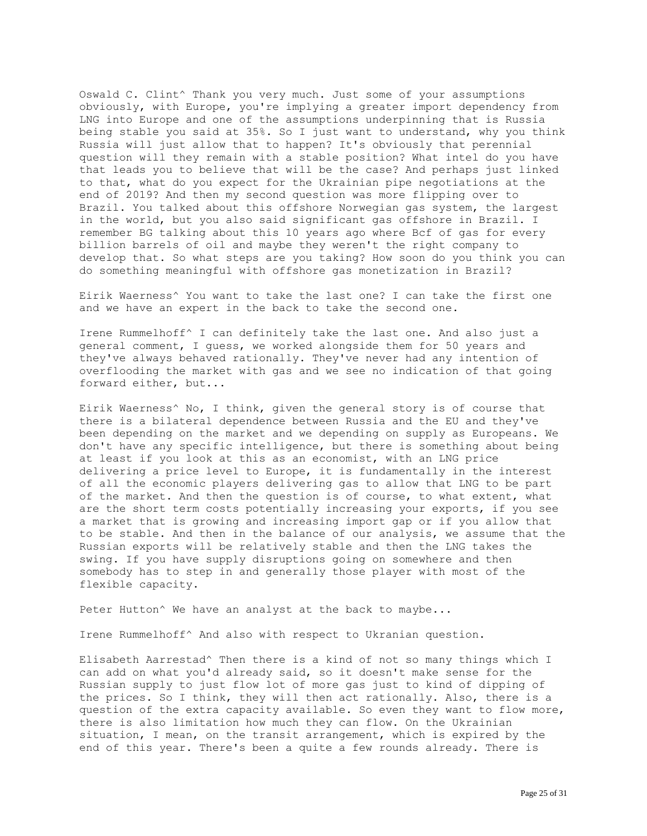Oswald C. Clint^ Thank you very much. Just some of your assumptions obviously, with Europe, you're implying a greater import dependency from LNG into Europe and one of the assumptions underpinning that is Russia being stable you said at 35%. So I just want to understand, why you think Russia will just allow that to happen? It's obviously that perennial question will they remain with a stable position? What intel do you have that leads you to believe that will be the case? And perhaps just linked to that, what do you expect for the Ukrainian pipe negotiations at the end of 2019? And then my second question was more flipping over to Brazil. You talked about this offshore Norwegian gas system, the largest in the world, but you also said significant gas offshore in Brazil. I remember BG talking about this 10 years ago where Bcf of gas for every billion barrels of oil and maybe they weren't the right company to develop that. So what steps are you taking? How soon do you think you can do something meaningful with offshore gas monetization in Brazil?

Eirik Waerness^ You want to take the last one? I can take the first one and we have an expert in the back to take the second one.

Irene Rummelhoff^ I can definitely take the last one. And also just a general comment, I guess, we worked alongside them for 50 years and they've always behaved rationally. They've never had any intention of overflooding the market with gas and we see no indication of that going forward either, but...

Eirik Waerness^ No, I think, given the general story is of course that there is a bilateral dependence between Russia and the EU and they've been depending on the market and we depending on supply as Europeans. We don't have any specific intelligence, but there is something about being at least if you look at this as an economist, with an LNG price delivering a price level to Europe, it is fundamentally in the interest of all the economic players delivering gas to allow that LNG to be part of the market. And then the question is of course, to what extent, what are the short term costs potentially increasing your exports, if you see a market that is growing and increasing import gap or if you allow that to be stable. And then in the balance of our analysis, we assume that the Russian exports will be relatively stable and then the LNG takes the swing. If you have supply disruptions going on somewhere and then somebody has to step in and generally those player with most of the flexible capacity.

Peter Hutton^ We have an analyst at the back to maybe...

Irene Rummelhoff^ And also with respect to Ukranian question.

Elisabeth Aarrestad^ Then there is a kind of not so many things which I can add on what you'd already said, so it doesn't make sense for the Russian supply to just flow lot of more gas just to kind of dipping of the prices. So I think, they will then act rationally. Also, there is a question of the extra capacity available. So even they want to flow more, there is also limitation how much they can flow. On the Ukrainian situation, I mean, on the transit arrangement, which is expired by the end of this year. There's been a quite a few rounds already. There is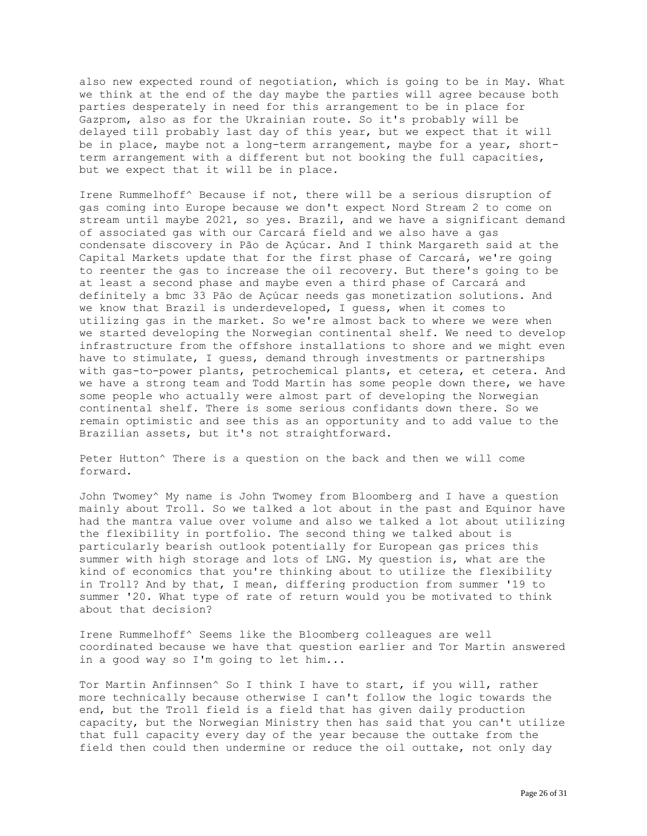also new expected round of negotiation, which is going to be in May. What we think at the end of the day maybe the parties will agree because both parties desperately in need for this arrangement to be in place for Gazprom, also as for the Ukrainian route. So it's probably will be delayed till probably last day of this year, but we expect that it will be in place, maybe not a long-term arrangement, maybe for a year, shortterm arrangement with a different but not booking the full capacities, but we expect that it will be in place.

Irene Rummelhoff^ Because if not, there will be a serious disruption of gas coming into Europe because we don't expect Nord Stream 2 to come on stream until maybe 2021, so yes. Brazil, and we have a significant demand of associated gas with our Carcará field and we also have a gas condensate discovery in Pão de Açúcar. And I think Margareth said at the Capital Markets update that for the first phase of Carcará, we're going to reenter the gas to increase the oil recovery. But there's going to be at least a second phase and maybe even a third phase of Carcará and definitely a bmc 33 Pão de Açúcar needs gas monetization solutions. And we know that Brazil is underdeveloped, I guess, when it comes to utilizing gas in the market. So we're almost back to where we were when we started developing the Norwegian continental shelf. We need to develop infrastructure from the offshore installations to shore and we might even have to stimulate, I guess, demand through investments or partnerships with gas-to-power plants, petrochemical plants, et cetera, et cetera. And we have a strong team and Todd Martin has some people down there, we have some people who actually were almost part of developing the Norwegian continental shelf. There is some serious confidants down there. So we remain optimistic and see this as an opportunity and to add value to the Brazilian assets, but it's not straightforward.

Peter Hutton<sup>^</sup> There is a question on the back and then we will come forward.

John Twomey^ My name is John Twomey from Bloomberg and I have a question mainly about Troll. So we talked a lot about in the past and Equinor have had the mantra value over volume and also we talked a lot about utilizing the flexibility in portfolio. The second thing we talked about is particularly bearish outlook potentially for European gas prices this summer with high storage and lots of LNG. My question is, what are the kind of economics that you're thinking about to utilize the flexibility in Troll? And by that, I mean, differing production from summer '19 to summer '20. What type of rate of return would you be motivated to think about that decision?

Irene Rummelhoff^ Seems like the Bloomberg colleagues are well coordinated because we have that question earlier and Tor Martin answered in a good way so I'm going to let him...

Tor Martin Anfinnsen^ So I think I have to start, if you will, rather more technically because otherwise I can't follow the logic towards the end, but the Troll field is a field that has given daily production capacity, but the Norwegian Ministry then has said that you can't utilize that full capacity every day of the year because the outtake from the field then could then undermine or reduce the oil outtake, not only day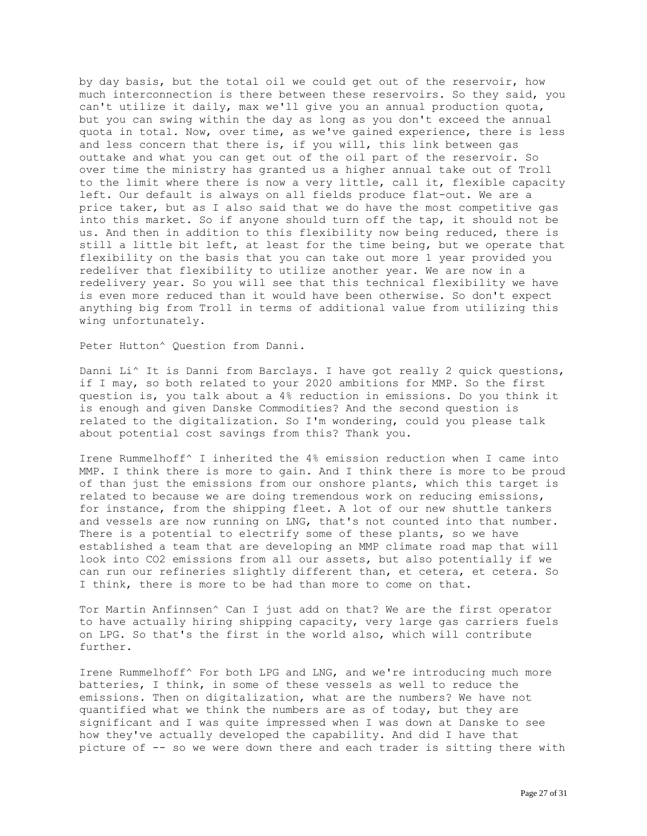by day basis, but the total oil we could get out of the reservoir, how much interconnection is there between these reservoirs. So they said, you can't utilize it daily, max we'll give you an annual production quota, but you can swing within the day as long as you don't exceed the annual quota in total. Now, over time, as we've gained experience, there is less and less concern that there is, if you will, this link between gas outtake and what you can get out of the oil part of the reservoir. So over time the ministry has granted us a higher annual take out of Troll to the limit where there is now a very little, call it, flexible capacity left. Our default is always on all fields produce flat-out. We are a price taker, but as I also said that we do have the most competitive gas into this market. So if anyone should turn off the tap, it should not be us. And then in addition to this flexibility now being reduced, there is still a little bit left, at least for the time being, but we operate that flexibility on the basis that you can take out more 1 year provided you redeliver that flexibility to utilize another year. We are now in a redelivery year. So you will see that this technical flexibility we have is even more reduced than it would have been otherwise. So don't expect anything big from Troll in terms of additional value from utilizing this wing unfortunately.

Peter Hutton^ Question from Danni.

Danni Li^ It is Danni from Barclays. I have got really 2 quick questions, if I may, so both related to your 2020 ambitions for MMP. So the first question is, you talk about a 4% reduction in emissions. Do you think it is enough and given Danske Commodities? And the second question is related to the digitalization. So I'm wondering, could you please talk about potential cost savings from this? Thank you.

Irene Rummelhoff^ I inherited the 4% emission reduction when I came into MMP. I think there is more to gain. And I think there is more to be proud of than just the emissions from our onshore plants, which this target is related to because we are doing tremendous work on reducing emissions, for instance, from the shipping fleet. A lot of our new shuttle tankers and vessels are now running on LNG, that's not counted into that number. There is a potential to electrify some of these plants, so we have established a team that are developing an MMP climate road map that will look into CO2 emissions from all our assets, but also potentially if we can run our refineries slightly different than, et cetera, et cetera. So I think, there is more to be had than more to come on that.

Tor Martin Anfinnsen^ Can I just add on that? We are the first operator to have actually hiring shipping capacity, very large gas carriers fuels on LPG. So that's the first in the world also, which will contribute further.

Irene Rummelhoff^ For both LPG and LNG, and we're introducing much more batteries, I think, in some of these vessels as well to reduce the emissions. Then on digitalization, what are the numbers? We have not quantified what we think the numbers are as of today, but they are significant and I was quite impressed when I was down at Danske to see how they've actually developed the capability. And did I have that picture of -- so we were down there and each trader is sitting there with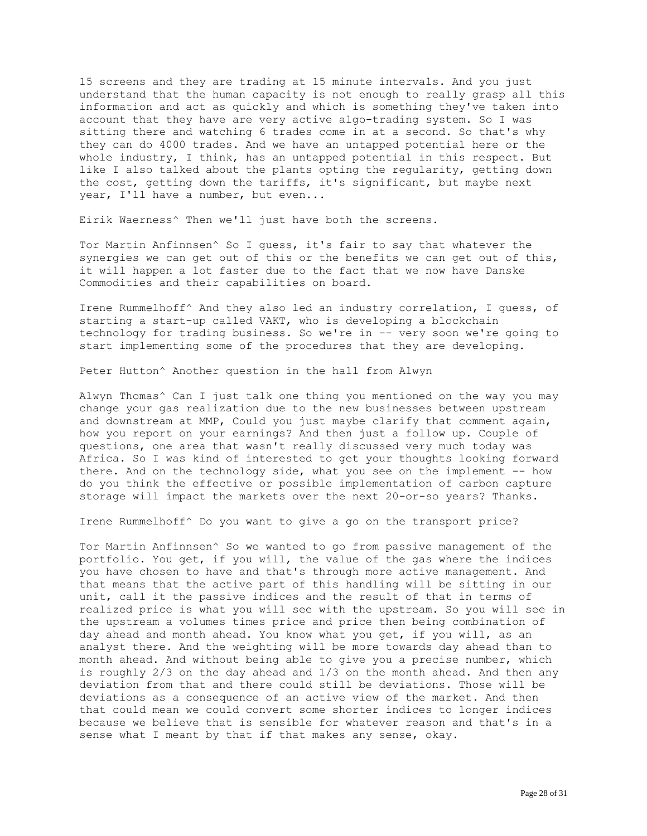15 screens and they are trading at 15 minute intervals. And you just understand that the human capacity is not enough to really grasp all this information and act as quickly and which is something they've taken into account that they have are very active algo-trading system. So I was sitting there and watching 6 trades come in at a second. So that's why they can do 4000 trades. And we have an untapped potential here or the whole industry, I think, has an untapped potential in this respect. But like I also talked about the plants opting the regularity, getting down the cost, getting down the tariffs, it's significant, but maybe next year, I'll have a number, but even...

Eirik Waerness^ Then we'll just have both the screens.

Tor Martin Anfinnsen^ So I guess, it's fair to say that whatever the synergies we can get out of this or the benefits we can get out of this, it will happen a lot faster due to the fact that we now have Danske Commodities and their capabilities on board.

Irene Rummelhoff^ And they also led an industry correlation, I guess, of starting a start-up called VAKT, who is developing a blockchain technology for trading business. So we're in -- very soon we're going to start implementing some of the procedures that they are developing.

Peter Hutton^ Another question in the hall from Alwyn

Alwyn Thomas^ Can I just talk one thing you mentioned on the way you may change your gas realization due to the new businesses between upstream and downstream at MMP, Could you just maybe clarify that comment again, how you report on your earnings? And then just a follow up. Couple of questions, one area that wasn't really discussed very much today was Africa. So I was kind of interested to get your thoughts looking forward there. And on the technology side, what you see on the implement -- how do you think the effective or possible implementation of carbon capture storage will impact the markets over the next 20-or-so years? Thanks.

Irene Rummelhoff^ Do you want to give a go on the transport price?

Tor Martin Anfinnsen^ So we wanted to go from passive management of the portfolio. You get, if you will, the value of the gas where the indices you have chosen to have and that's through more active management. And that means that the active part of this handling will be sitting in our unit, call it the passive indices and the result of that in terms of realized price is what you will see with the upstream. So you will see in the upstream a volumes times price and price then being combination of day ahead and month ahead. You know what you get, if you will, as an analyst there. And the weighting will be more towards day ahead than to month ahead. And without being able to give you a precise number, which is roughly 2/3 on the day ahead and 1/3 on the month ahead. And then any deviation from that and there could still be deviations. Those will be deviations as a consequence of an active view of the market. And then that could mean we could convert some shorter indices to longer indices because we believe that is sensible for whatever reason and that's in a sense what I meant by that if that makes any sense, okay.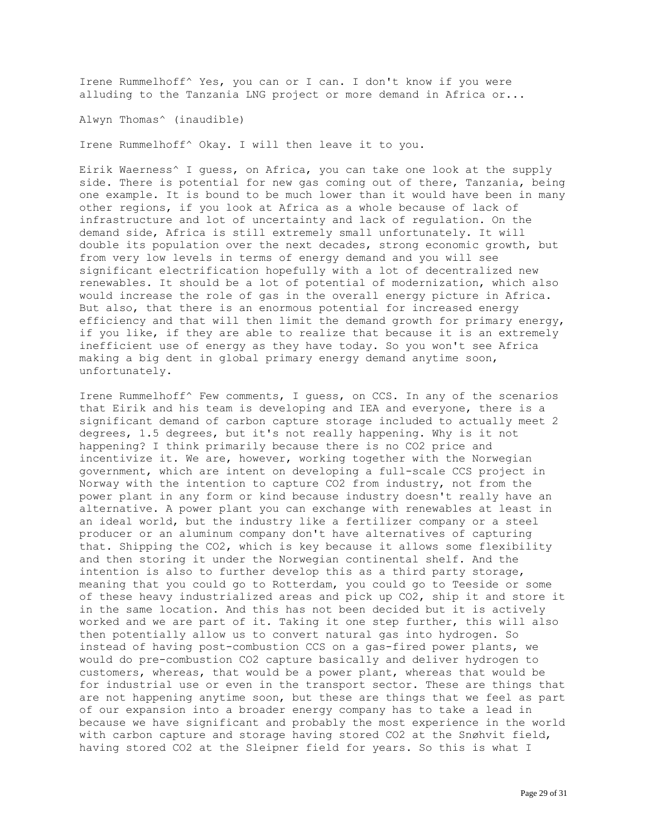Irene Rummelhoff^ Yes, you can or I can. I don't know if you were alluding to the Tanzania LNG project or more demand in Africa or...

Alwyn Thomas^ (inaudible)

Irene Rummelhoff^ Okay. I will then leave it to you.

Eirik Waerness^ I guess, on Africa, you can take one look at the supply side. There is potential for new gas coming out of there, Tanzania, being one example. It is bound to be much lower than it would have been in many other regions, if you look at Africa as a whole because of lack of infrastructure and lot of uncertainty and lack of regulation. On the demand side, Africa is still extremely small unfortunately. It will double its population over the next decades, strong economic growth, but from very low levels in terms of energy demand and you will see significant electrification hopefully with a lot of decentralized new renewables. It should be a lot of potential of modernization, which also would increase the role of gas in the overall energy picture in Africa. But also, that there is an enormous potential for increased energy efficiency and that will then limit the demand growth for primary energy, if you like, if they are able to realize that because it is an extremely inefficient use of energy as they have today. So you won't see Africa making a big dent in global primary energy demand anytime soon, unfortunately.

Irene Rummelhoff^ Few comments, I guess, on CCS. In any of the scenarios that Eirik and his team is developing and IEA and everyone, there is a significant demand of carbon capture storage included to actually meet 2 degrees, 1.5 degrees, but it's not really happening. Why is it not happening? I think primarily because there is no CO2 price and incentivize it. We are, however, working together with the Norwegian government, which are intent on developing a full-scale CCS project in Norway with the intention to capture CO2 from industry, not from the power plant in any form or kind because industry doesn't really have an alternative. A power plant you can exchange with renewables at least in an ideal world, but the industry like a fertilizer company or a steel producer or an aluminum company don't have alternatives of capturing that. Shipping the CO2, which is key because it allows some flexibility and then storing it under the Norwegian continental shelf. And the intention is also to further develop this as a third party storage, meaning that you could go to Rotterdam, you could go to Teeside or some of these heavy industrialized areas and pick up CO2, ship it and store it in the same location. And this has not been decided but it is actively worked and we are part of it. Taking it one step further, this will also then potentially allow us to convert natural gas into hydrogen. So instead of having post-combustion CCS on a gas-fired power plants, we would do pre-combustion CO2 capture basically and deliver hydrogen to customers, whereas, that would be a power plant, whereas that would be for industrial use or even in the transport sector. These are things that are not happening anytime soon, but these are things that we feel as part of our expansion into a broader energy company has to take a lead in because we have significant and probably the most experience in the world with carbon capture and storage having stored CO2 at the Snøhvit field, having stored CO2 at the Sleipner field for years. So this is what I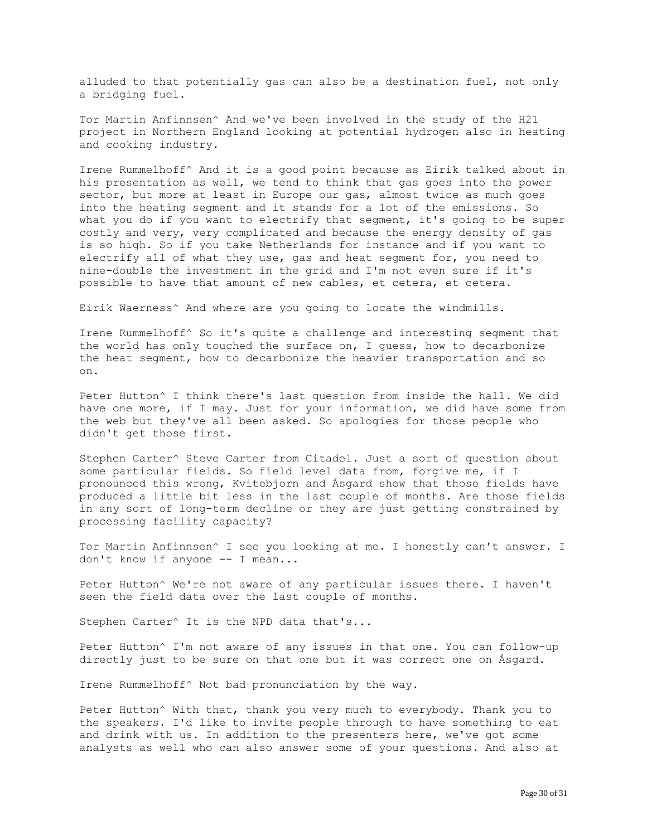alluded to that potentially gas can also be a destination fuel, not only a bridging fuel.

Tor Martin Anfinnsen^ And we've been involved in the study of the H21 project in Northern England looking at potential hydrogen also in heating and cooking industry.

Irene Rummelhoff^ And it is a good point because as Eirik talked about in his presentation as well, we tend to think that gas goes into the power sector, but more at least in Europe our gas, almost twice as much goes into the heating segment and it stands for a lot of the emissions. So what you do if you want to electrify that segment, it's going to be super costly and very, very complicated and because the energy density of gas is so high. So if you take Netherlands for instance and if you want to electrify all of what they use, gas and heat segment for, you need to nine-double the investment in the grid and I'm not even sure if it's possible to have that amount of new cables, et cetera, et cetera.

Eirik Waerness<sup>^</sup> And where are you going to locate the windmills.

Irene Rummelhoff^ So it's quite a challenge and interesting segment that the world has only touched the surface on, I guess, how to decarbonize the heat segment, how to decarbonize the heavier transportation and so on.

Peter Hutton^ I think there's last question from inside the hall. We did have one more, if I may. Just for your information, we did have some from the web but they've all been asked. So apologies for those people who didn't get those first.

Stephen Carter^ Steve Carter from Citadel. Just a sort of question about some particular fields. So field level data from, forgive me, if I pronounced this wrong, Kvitebjorn and Åsgard show that those fields have produced a little bit less in the last couple of months. Are those fields in any sort of long-term decline or they are just getting constrained by processing facility capacity?

Tor Martin Anfinnsen^ I see you looking at me. I honestly can't answer. I don't know if anyone -- I mean...

Peter Hutton^ We're not aware of any particular issues there. I haven't seen the field data over the last couple of months.

Stephen Carter^ It is the NPD data that's...

Peter Hutton<sup>^</sup> I'm not aware of any issues in that one. You can follow-up directly just to be sure on that one but it was correct one on Åsgard.

Irene Rummelhoff^ Not bad pronunciation by the way.

Peter Hutton<sup>^</sup> With that, thank you very much to everybody. Thank you to the speakers. I'd like to invite people through to have something to eat and drink with us. In addition to the presenters here, we've got some analysts as well who can also answer some of your questions. And also at